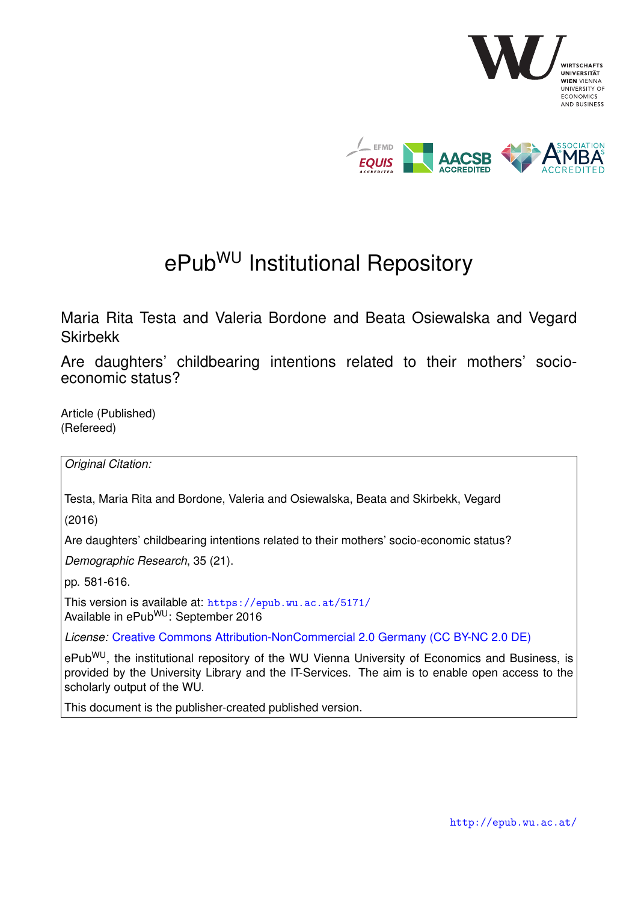

# ePub<sup>WU</sup> Institutional Repository

Maria Rita Testa and Valeria Bordone and Beata Osiewalska and Vegard Skirbekk

Are daughters' childbearing intentions related to their mothers' socioeconomic status?

Article (Published) (Refereed)

*Original Citation:*

Testa, Maria Rita and Bordone, Valeria and Osiewalska, Beata and Skirbekk, Vegard

(2016)

Are daughters' childbearing intentions related to their mothers' socio-economic status?

*Demographic Research*, 35 (21).

pp. 581-616.

This version is available at: <https://epub.wu.ac.at/5171/> Available in ePubWU: September 2016

*License:* [Creative Commons Attribution-NonCommercial 2.0 Germany \(CC BY-NC 2.0 DE\)](https://creativecommons.org/licenses/by-nc/2.0/de/deed.en)

ePub<sup>WU</sup>, the institutional repository of the WU Vienna University of Economics and Business, is provided by the University Library and the IT-Services. The aim is to enable open access to the scholarly output of the WU.

This document is the publisher-created published version.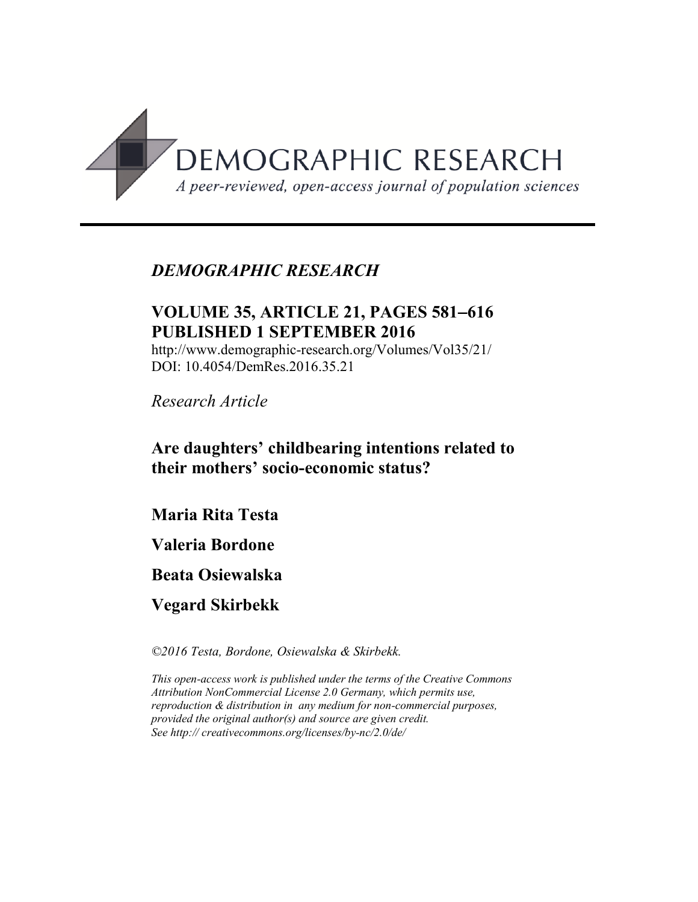

# *DEMOGRAPHIC RESEARCH*

# **VOLUME 35, ARTICLE 21, PAGES 581**−**616 PUBLISHED 1 SEPTEMBER 2016**

http://www.demographic-research.org/Volumes/Vol35/21/ DOI: 10.4054/DemRes.2016.35.21

*Research Article*

# **Are daughters' childbearing intentions related to their mothers' socio-economic status?**

**Maria Rita Testa** 

**Valeria Bordone** 

**Beata Osiewalska** 

**Vegard Skirbekk**

*©2016 Testa, Bordone, Osiewalska & Skirbekk.*

*This open-access work is published under the terms of the Creative Commons Attribution NonCommercial License 2.0 Germany, which permits use, reproduction & distribution in any medium for non-commercial purposes, provided the original author(s) and source are given credit. See http:// creativecommons.org/licenses/by-nc/2.0/de/*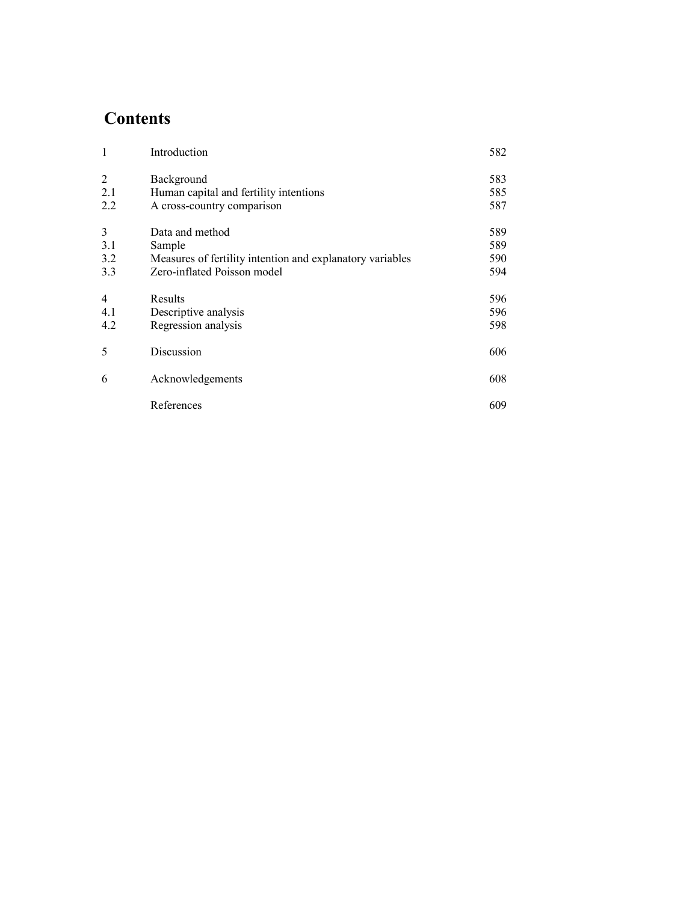# **Contents**

| $\mathbf{1}$ | Introduction                                              | 582 |
|--------------|-----------------------------------------------------------|-----|
| 2            | Background                                                | 583 |
| 2.1          | Human capital and fertility intentions                    | 585 |
| 2.2          | A cross-country comparison                                | 587 |
| 3            | Data and method                                           | 589 |
| 3.1          | Sample                                                    | 589 |
| 3.2          | Measures of fertility intention and explanatory variables | 590 |
| 3.3          | Zero-inflated Poisson model                               | 594 |
| 4            | Results                                                   | 596 |
| 4.1          | Descriptive analysis                                      | 596 |
| 4.2          | Regression analysis                                       | 598 |
| 5            | Discussion                                                | 606 |
| 6            | Acknowledgements                                          | 608 |
|              | References                                                | 609 |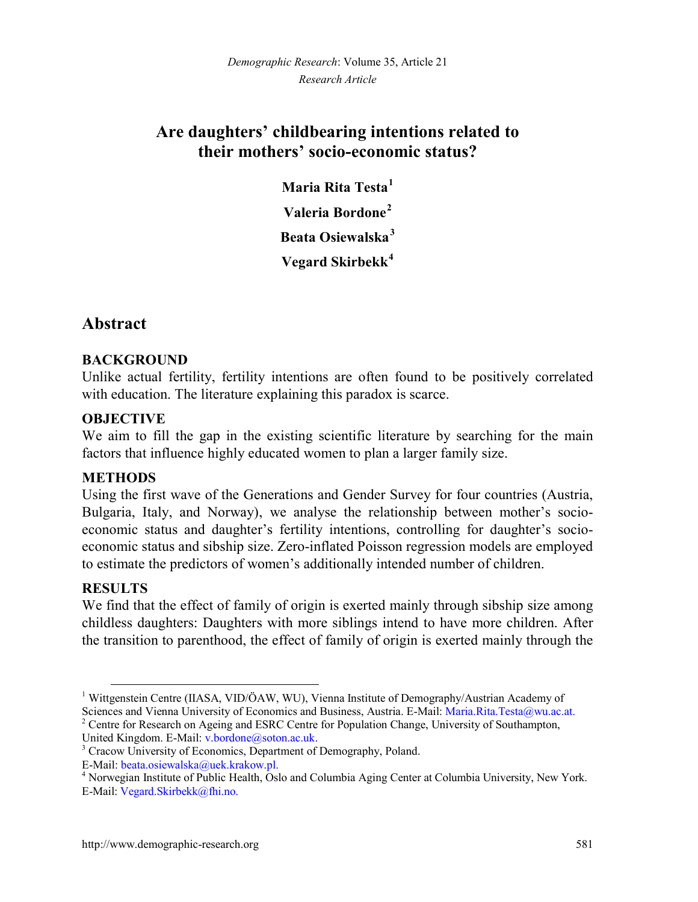# **Are daughters' childbearing intentions related to their mothers' socio-economic status?**

**Maria Rita Testa[1](#page-3-0) Valeria Bordone[2](#page-3-1) Beata Osiewalska[3](#page-3-2) Vegard Skirbekk[4](#page-3-3)**

# **Abstract**

#### **BACKGROUND**

Unlike actual fertility, fertility intentions are often found to be positively correlated with education. The literature explaining this paradox is scarce.

## **OBJECTIVE**

We aim to fill the gap in the existing scientific literature by searching for the main factors that influence highly educated women to plan a larger family size.

#### **METHODS**

Using the first wave of the Generations and Gender Survey for four countries (Austria, Bulgaria, Italy, and Norway), we analyse the relationship between mother's socioeconomic status and daughter's fertility intentions, controlling for daughter's socioeconomic status and sibship size. Zero-inflated Poisson regression models are employed to estimate the predictors of women's additionally intended number of children.

## **RESULTS**

We find that the effect of family of origin is exerted mainly through sibship size among childless daughters: Daughters with more siblings intend to have more children. After the transition to parenthood, the effect of family of origin is exerted mainly through the

<span id="page-3-0"></span><sup>&</sup>lt;sup>1</sup> Wittgenstein Centre (IIASA, VID/ÖAW, WU), Vienna Institute of Demography/Austrian Academy of Sciences and Vienna University of Economics and Business, Austria. E-Mail: [Maria.Rita.Testa@wu.ac.at.](mailto:Maria.Rita.Testa@wu.ac.at)

<span id="page-3-1"></span><sup>&</sup>lt;sup>2</sup> Centre for Research on Ageing and ESRC Centre for Population Change, University of Southampton, United Kingdom. E-Mail[: v.bordone@soton.ac.uk.](mailto:v.bordone@soton.ac.uk)

<span id="page-3-2"></span><sup>&</sup>lt;sup>3</sup> Cracow University of Economics, Department of Demography, Poland. E-Mail: beata.osiewalska@uek.krakow.pl.

<span id="page-3-3"></span><sup>&</sup>lt;sup>4</sup> Norwegian Institute of Public Health, Oslo and Columbia Aging Center at Columbia University, New York. E-Mail[: Vegard.Skirbekk@fhi.no.](mailto:Vegard.Skirbekk@fhi.no)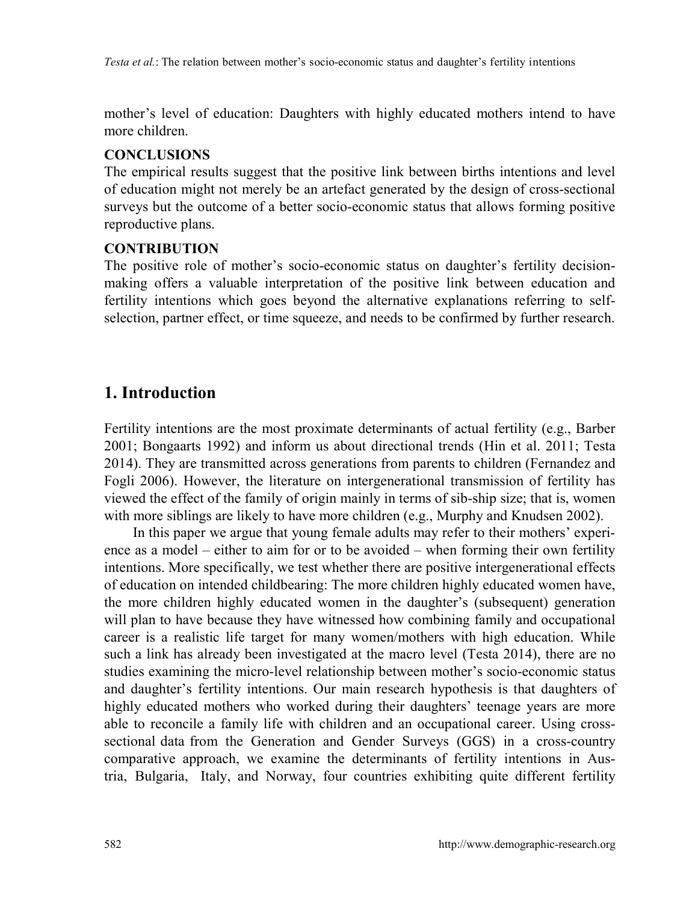mother's level of education: Daughters with highly educated mothers intend to have more children.

#### **CONCLUSIONS**

The empirical results suggest that the positive link between births intentions and level of education might not merely be an artefact generated by the design of cross-sectional surveys but the outcome of a better socio-economic status that allows forming positive reproductive plans.

#### **CONTRIBUTION**

The positive role of mother's socio-economic status on daughter's fertility decisionmaking offers a valuable interpretation of the positive link between education and fertility intentions which goes beyond the alternative explanations referring to selfselection, partner effect, or time squeeze, and needs to be confirmed by further research.

# **1. Introduction**

Fertility intentions are the most proximate determinants of actual fertility (e.g., Barber 2001; Bongaarts 1992) and inform us about directional trends (Hin et al. 2011; Testa 2014). They are transmitted across generations from parents to children (Fernandez and Fogli 2006). However, the literature on intergenerational transmission of fertility has viewed the effect of the family of origin mainly in terms of sib-ship size; that is, women with more siblings are likely to have more children (e.g., Murphy and Knudsen 2002).

In this paper we argue that young female adults may refer to their mothers' experience as a model – either to aim for or to be avoided – when forming their own fertility intentions. More specifically, we test whether there are positive intergenerational effects of education on intended childbearing: The more children highly educated women have, the more children highly educated women in the daughter's (subsequent) generation will plan to have because they have witnessed how combining family and occupational career is a realistic life target for many women/mothers with high education. While such a link has already been investigated at the macro level (Testa 2014), there are no studies examining the micro-level relationship between mother's socio-economic status and daughter's fertility intentions. Our main research hypothesis is that daughters of highly educated mothers who worked during their daughters' teenage years are more able to reconcile a family life with children and an occupational career. Using crosssectional data from the Generation and Gender Surveys (GGS) in a cross-country comparative approach, we examine the determinants of fertility intentions in Austria, Bulgaria, Italy, and Norway, four countries exhibiting quite different fertility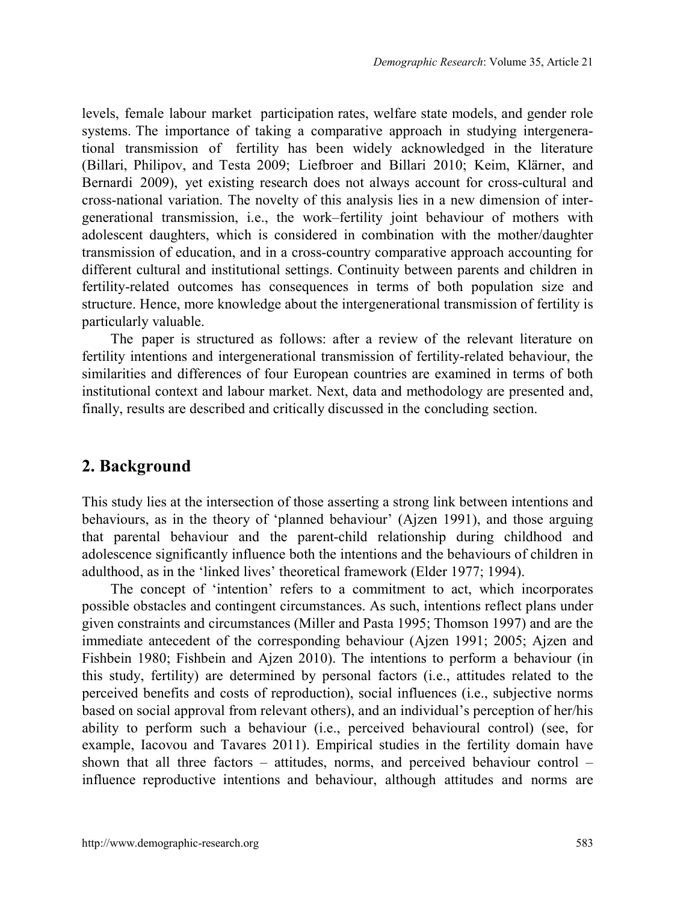levels, female labour market participation rates, welfare state models, and gender role systems. The importance of taking a comparative approach in studying intergenerational transmission of fertility has been widely acknowledged in the literature (Billari, Philipov, and Testa 2009; Liefbroer and Billari 2010; Keim, Klärner, and Bernardi 2009), yet existing research does not always account for cross-cultural and cross-national variation. The novelty of this analysis lies in a new dimension of intergenerational transmission, i.e., the work–fertility joint behaviour of mothers with adolescent daughters, which is considered in combination with the mother/daughter transmission of education, and in a cross-country comparative approach accounting for different cultural and institutional settings. Continuity between parents and children in fertility-related outcomes has consequences in terms of both population size and structure. Hence, more knowledge about the intergenerational transmission of fertility is particularly valuable.

The paper is structured as follows: after a review of the relevant literature on fertility intentions and intergenerational transmission of fertility-related behaviour, the similarities and differences of four European countries are examined in terms of both institutional context and labour market. Next, data and methodology are presented and, finally, results are described and critically discussed in the concluding section.

## **2. Background**

This study lies at the intersection of those asserting a strong link between intentions and behaviours, as in the theory of 'planned behaviour' (Ajzen 1991), and those arguing that parental behaviour and the parent-child relationship during childhood and adolescence significantly influence both the intentions and the behaviours of children in adulthood, as in the 'linked lives' theoretical framework (Elder 1977; 1994).

The concept of 'intention' refers to a commitment to act, which incorporates possible obstacles and contingent circumstances. As such, intentions reflect plans under given constraints and circumstances (Miller and Pasta 1995; Thomson 1997) and are the immediate antecedent of the corresponding behaviour (Ajzen 1991; 2005; Ajzen and Fishbein 1980; Fishbein and Ajzen 2010). The intentions to perform a behaviour (in this study, fertility) are determined by personal factors (i.e., attitudes related to the perceived benefits and costs of reproduction), social influences (i.e., subjective norms based on social approval from relevant others), and an individual's perception of her/his ability to perform such a behaviour (i.e., perceived behavioural control) (see, for example, Iacovou and Tavares 2011). Empirical studies in the fertility domain have shown that all three factors  $-$  attitudes, norms, and perceived behaviour control  $$ influence reproductive intentions and behaviour, although attitudes and norms are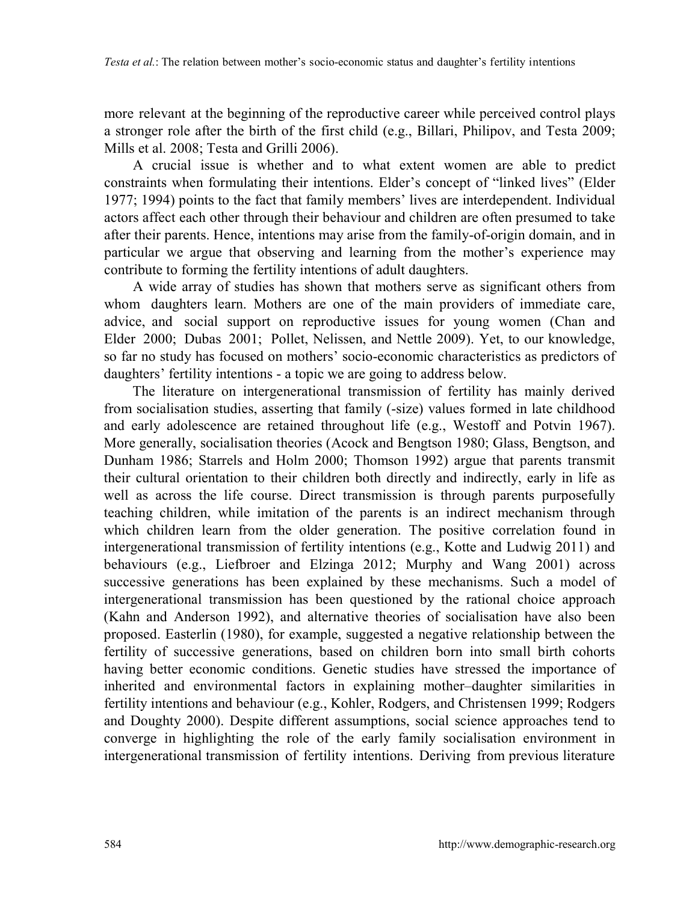more relevant at the beginning of the reproductive career while perceived control plays a stronger role after the birth of the first child (e.g., Billari, Philipov, and Testa 2009; Mills et al. 2008; Testa and Grilli 2006).

A crucial issue is whether and to what extent women are able to predict constraints when formulating their intentions. Elder's concept of "linked lives" (Elder 1977; 1994) points to the fact that family members' lives are interdependent. Individual actors affect each other through their behaviour and children are often presumed to take after their parents. Hence, intentions may arise from the family-of-origin domain, and in particular we argue that observing and learning from the mother's experience may contribute to forming the fertility intentions of adult daughters.

A wide array of studies has shown that mothers serve as significant others from whom daughters learn. Mothers are one of the main providers of immediate care, advice, and social support on reproductive issues for young women (Chan and Elder 2000; Dubas 2001; Pollet, Nelissen, and Nettle 2009). Yet, to our knowledge, so far no study has focused on mothers' socio-economic characteristics as predictors of daughters' fertility intentions - a topic we are going to address below.

The literature on intergenerational transmission of fertility has mainly derived from socialisation studies, asserting that family (-size) values formed in late childhood and early adolescence are retained throughout life (e.g., Westoff and Potvin 1967). More generally, socialisation theories (Acock and Bengtson 1980; Glass, Bengtson, and Dunham 1986; Starrels and Holm 2000; Thomson 1992) argue that parents transmit their cultural orientation to their children both directly and indirectly, early in life as well as across the life course. Direct transmission is through parents purposefully teaching children, while imitation of the parents is an indirect mechanism through which children learn from the older generation. The positive correlation found in intergenerational transmission of fertility intentions (e.g., Kotte and Ludwig 2011) and behaviours (e.g., Liefbroer and Elzinga 2012; Murphy and Wang 2001) across successive generations has been explained by these mechanisms. Such a model of intergenerational transmission has been questioned by the rational choice approach (Kahn and Anderson 1992), and alternative theories of socialisation have also been proposed. Easterlin (1980), for example, suggested a negative relationship between the fertility of successive generations, based on children born into small birth cohorts having better economic conditions. Genetic studies have stressed the importance of inherited and environmental factors in explaining mother–daughter similarities in fertility intentions and behaviour (e.g., Kohler, Rodgers, and Christensen 1999; Rodgers and Doughty 2000). Despite different assumptions, social science approaches tend to converge in highlighting the role of the early family socialisation environment in intergenerational transmission of fertility intentions. Deriving from previous literature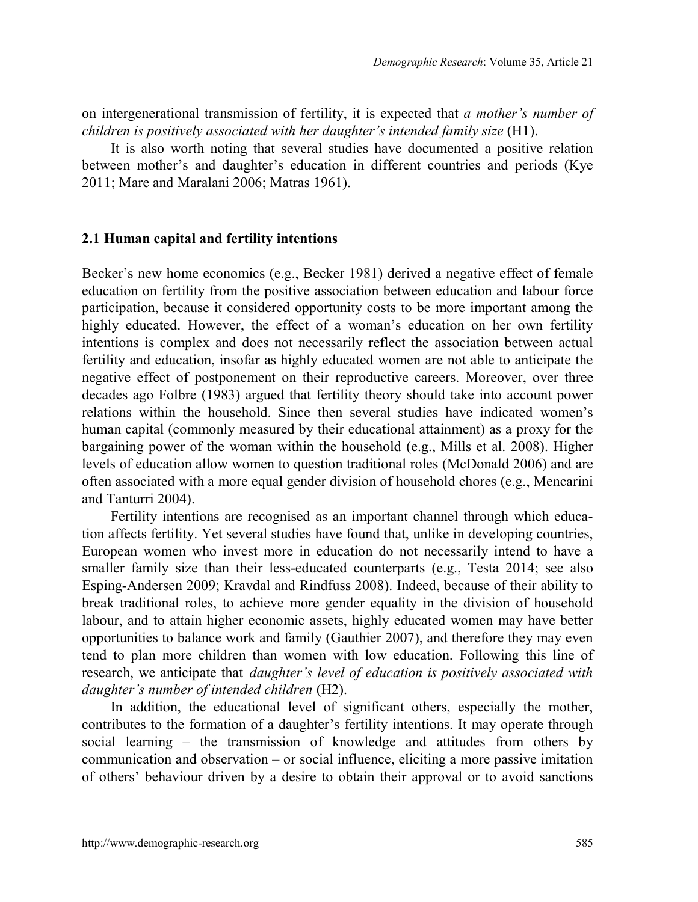on intergenerational transmission of fertility, it is expected that *a mother's number of children is positively associated with her daughter's intended family size* (H1).

It is also worth noting that several studies have documented a positive relation between mother's and daughter's education in different countries and periods (Kye 2011; Mare and Maralani 2006; Matras 1961).

#### **2.1 Human capital and fertility intentions**

Becker's new home economics (e.g., Becker 1981) derived a negative effect of female education on fertility from the positive association between education and labour force participation, because it considered opportunity costs to be more important among the highly educated. However, the effect of a woman's education on her own fertility intentions is complex and does not necessarily reflect the association between actual fertility and education, insofar as highly educated women are not able to anticipate the negative effect of postponement on their reproductive careers. Moreover, over three decades ago Folbre (1983) argued that fertility theory should take into account power relations within the household. Since then several studies have indicated women's human capital (commonly measured by their educational attainment) as a proxy for the bargaining power of the woman within the household (e.g., Mills et al. 2008). Higher levels of education allow women to question traditional roles (McDonald 2006) and are often associated with a more equal gender division of household chores (e.g., Mencarini and Tanturri 2004).

Fertility intentions are recognised as an important channel through which education affects fertility. Yet several studies have found that, unlike in developing countries, European women who invest more in education do not necessarily intend to have a smaller family size than their less-educated counterparts (e.g., Testa 2014; see also Esping-Andersen 2009; Kravdal and Rindfuss 2008). Indeed, because of their ability to break traditional roles, to achieve more gender equality in the division of household labour, and to attain higher economic assets, highly educated women may have better opportunities to balance work and family (Gauthier 2007), and therefore they may even tend to plan more children than women with low education. Following this line of research, we anticipate that *daughter's level of education is positively associated with daughter's number of intended children* (H2).

In addition, the educational level of significant others, especially the mother, contributes to the formation of a daughter's fertility intentions. It may operate through social learning – the transmission of knowledge and attitudes from others by communication and observation ‒ or social influence, eliciting a more passive imitation of others' behaviour driven by a desire to obtain their approval or to avoid sanctions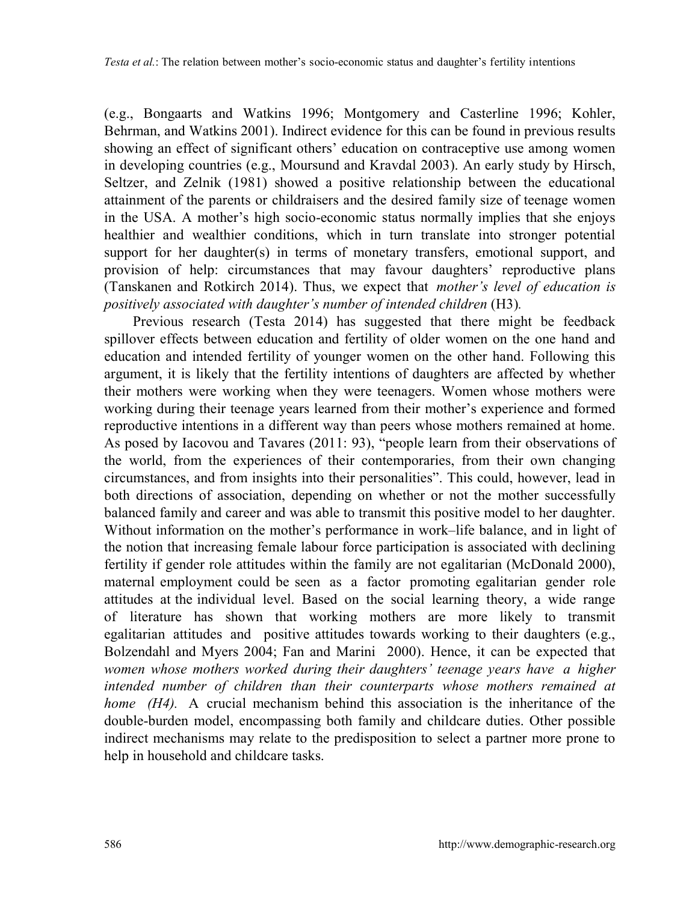(e.g., Bongaarts and Watkins 1996; Montgomery and Casterline 1996; Kohler, Behrman, and Watkins 2001). Indirect evidence for this can be found in previous results showing an effect of significant others' education on contraceptive use among women in developing countries (e.g., Moursund and Kravdal 2003). An early study by Hirsch, Seltzer, and Zelnik (1981) showed a positive relationship between the educational attainment of the parents or childraisers and the desired family size of teenage women in the USA. A mother's high socio-economic status normally implies that she enjoys healthier and wealthier conditions, which in turn translate into stronger potential support for her daughter(s) in terms of monetary transfers, emotional support, and provision of help: circumstances that may favour daughters' reproductive plans (Tanskanen and Rotkirch 2014). Thus, we expect that *mother's level of education is positively associated with daughter's number of intended children* (H3)*.*

Previous research (Testa 2014) has suggested that there might be feedback spillover effects between education and fertility of older women on the one hand and education and intended fertility of younger women on the other hand. Following this argument, it is likely that the fertility intentions of daughters are affected by whether their mothers were working when they were teenagers. Women whose mothers were working during their teenage years learned from their mother's experience and formed reproductive intentions in a different way than peers whose mothers remained at home. As posed by Iacovou and Tavares (2011: 93), "people learn from their observations of the world, from the experiences of their contemporaries, from their own changing circumstances, and from insights into their personalities". This could, however, lead in both directions of association, depending on whether or not the mother successfully balanced family and career and was able to transmit this positive model to her daughter. Without information on the mother's performance in work–life balance, and in light of the notion that increasing female labour force participation is associated with declining fertility if gender role attitudes within the family are not egalitarian (McDonald 2000), maternal employment could be seen as a factor promoting egalitarian gender role attitudes at the individual level. Based on the social learning theory, a wide range of literature has shown that working mothers are more likely to transmit egalitarian attitudes and positive attitudes towards working to their daughters (e.g., Bolzendahl and Myers 2004; Fan and Marini 2000). Hence, it can be expected that *women whose mothers worked during their daughters' teenage years have a higher intended number of children than their counterparts whose mothers remained at home (H4).* A crucial mechanism behind this association is the inheritance of the double-burden model, encompassing both family and childcare duties. Other possible indirect mechanisms may relate to the predisposition to select a partner more prone to help in household and childcare tasks.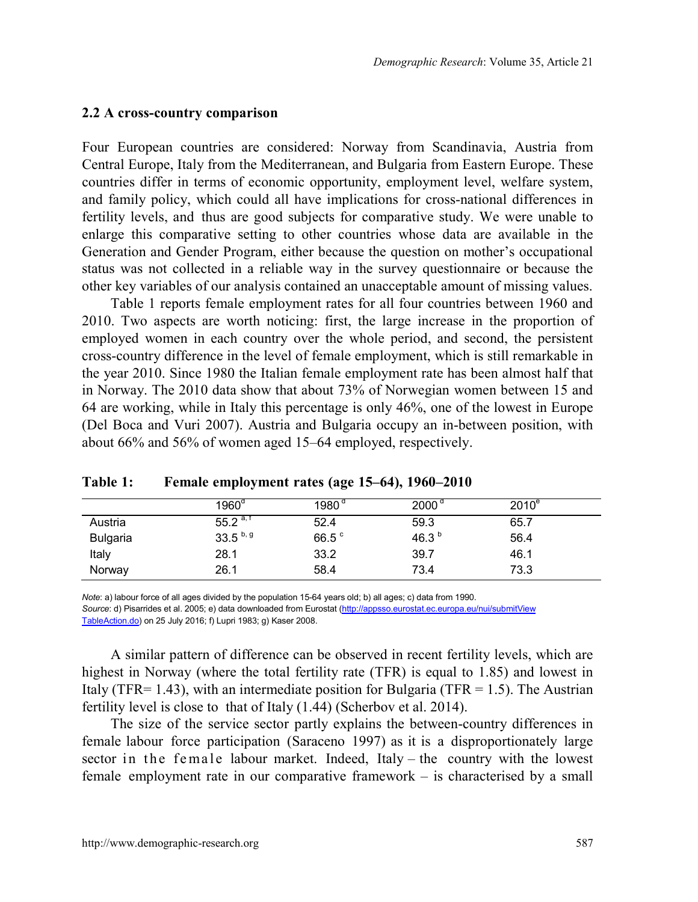#### **2.2 A cross-country comparison**

Four European countries are considered: Norway from Scandinavia, Austria from Central Europe, Italy from the Mediterranean, and Bulgaria from Eastern Europe. These countries differ in terms of economic opportunity, employment level, welfare system, and family policy, which could all have implications for cross-national differences in fertility levels, and thus are good subjects for comparative study. We were unable to enlarge this comparative setting to other countries whose data are available in the Generation and Gender Program, either because the question on mother's occupational status was not collected in a reliable way in the survey questionnaire or because the other key variables of our analysis contained an unacceptable amount of missing values.

Table 1 reports female employment rates for all four countries between 1960 and 2010. Two aspects are worth noticing: first, the large increase in the proportion of employed women in each country over the whole period, and second, the persistent cross-country difference in the level of female employment, which is still remarkable in the year 2010. Since 1980 the Italian female employment rate has been almost half that in Norway. The 2010 data show that about 73% of Norwegian women between 15 and 64 are working, while in Italy this percentage is only 46%, one of the lowest in Europe (Del Boca and Vuri 2007). Austria and Bulgaria occupy an in-between position, with about 66% and 56% of women aged 15–64 employed, respectively.

|                 | $1960^\circ$  | 1980°             | $2000^{\circ}$    | $2010^e$ |  |
|-----------------|---------------|-------------------|-------------------|----------|--|
| Austria         | $55.2^{a, t}$ | 52.4              | 59.3              | 65.7     |  |
| <b>Bulgaria</b> | $33.5^{b, g}$ | 66.5 <sup>c</sup> | 46.3 <sup>b</sup> | 56.4     |  |
| Italy           | 28.1          | 33.2              | 39.7              | 46.1     |  |
| Norway          | 26.1          | 58.4              | 73.4              | 73.3     |  |

**Table 1: Female employment rates (age 15–64), 1960‒2010**

*Note*: a) labour force of all ages divided by the population 15-64 years old; b) all ages; c) data from 1990. *Source*: d) Pisarrides et al. 2005; e) data downloaded from Eurostat [\(http://appsso.eurostat.ec.europa.eu/nui/submitView](http://appsso.eurostat.ec.europa.eu/nui/submitViewTableAction.do) [TableAction.do\)](http://appsso.eurostat.ec.europa.eu/nui/submitViewTableAction.do) on 25 July 2016; f) Lupri 1983; g) Kaser 2008.

A similar pattern of difference can be observed in recent fertility levels, which are highest in Norway (where the total fertility rate (TFR) is equal to 1.85) and lowest in Italy (TFR= 1.43), with an intermediate position for Bulgaria (TFR = 1.5). The Austrian fertility level is close to that of Italy (1.44) (Scherbov et al. 2014).

The size of the service sector partly explains the between-country differences in female labour force participation (Saraceno 1997) as it is a disproportionately large sector in the female labour market. Indeed, Italy  $-$  the country with the lowest female employment rate in our comparative framework – is characterised by a small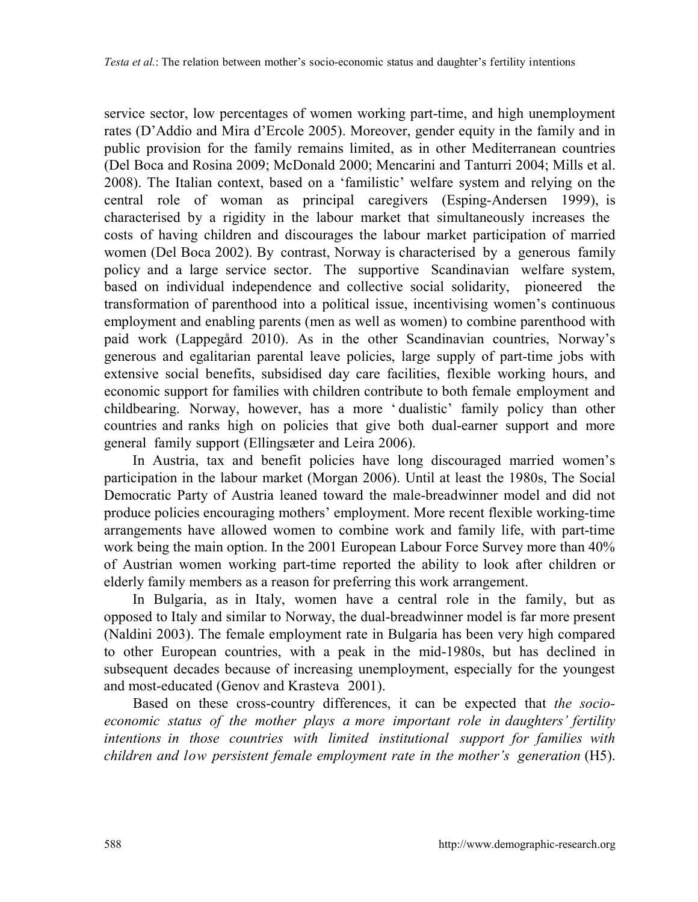service sector, low percentages of women working part-time, and high unemployment rates (D'Addio and Mira d'Ercole 2005). Moreover, gender equity in the family and in public provision for the family remains limited, as in other Mediterranean countries (Del Boca and Rosina 2009; McDonald 2000; Mencarini and Tanturri 2004; Mills et al. 2008). The Italian context, based on a 'familistic' welfare system and relying on the central role of woman as principal caregivers (Esping-Andersen 1999), is characterised by a rigidity in the labour market that simultaneously increases the costs of having children and discourages the labour market participation of married women (Del Boca 2002). By contrast, Norway is characterised by a generous family policy and a large service sector. The supportive Scandinavian welfare system, based on individual independence and collective social solidarity, pioneered the transformation of parenthood into a political issue, incentivising women's continuous employment and enabling parents (men as well as women) to combine parenthood with paid work (Lappegård 2010). As in the other Scandinavian countries, Norway's generous and egalitarian parental leave policies, large supply of part-time jobs with extensive social benefits, subsidised day care facilities, flexible working hours, and economic support for families with children contribute to both female employment and childbearing. Norway, however, has a more ' dualistic' family policy than other countries and ranks high on policies that give both dual-earner support and more general family support (Ellingsæter and Leira 2006).

In Austria, tax and benefit policies have long discouraged married women's participation in the labour market (Morgan 2006). Until at least the 1980s, The Social Democratic Party of Austria leaned toward the male-breadwinner model and did not produce policies encouraging mothers' employment. More recent flexible working-time arrangements have allowed women to combine work and family life, with part-time work being the main option. In the 2001 European Labour Force Survey more than 40% of Austrian women working part-time reported the ability to look after children or elderly family members as a reason for preferring this work arrangement.

In Bulgaria, as in Italy, women have a central role in the family, but as opposed to Italy and similar to Norway, the dual-breadwinner model is far more present (Naldini 2003). The female employment rate in Bulgaria has been very high compared to other European countries, with a peak in the mid-1980s, but has declined in subsequent decades because of increasing unemployment, especially for the youngest and most-educated (Genov and Krasteva 2001).

Based on these cross-country differences, it can be expected that *the socioeconomic status of the mother plays a more important role in daughters' fertility intentions in those countries with limited institutional support for families with children and low persistent female employment rate in the mother's generation* (H5).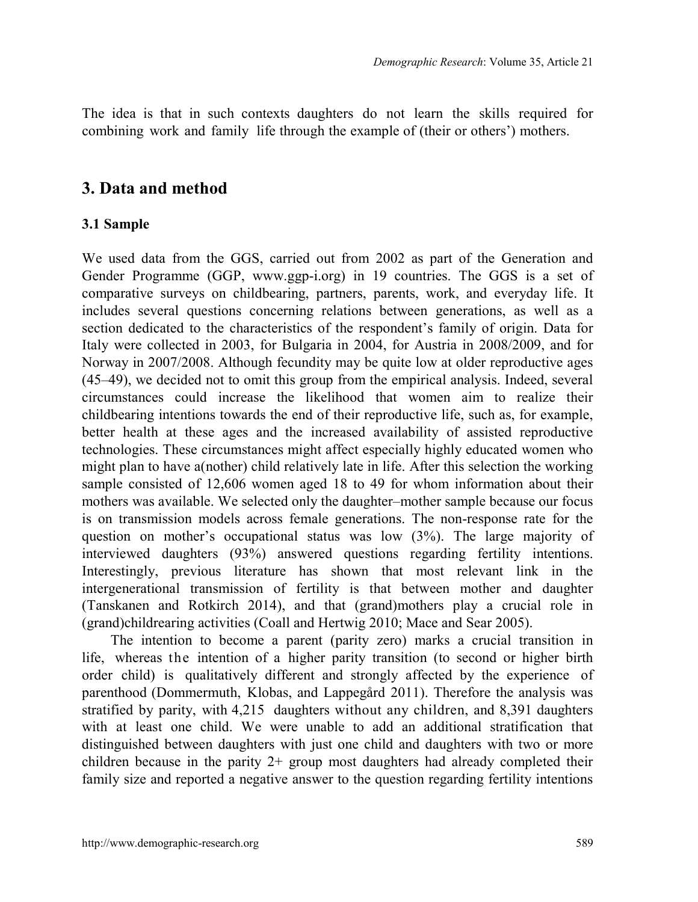The idea is that in such contexts daughters do not learn the skills required for combining work and family life through the example of (their or others') mothers.

## **3. Data and method**

#### **3.1 Sample**

We used data from the GGS, carried out from 2002 as part of the Generation and Gender Programme (GGP, www.ggp-i.org) in 19 countries. The GGS is a set of comparative surveys on childbearing, partners, parents, work, and everyday life. It includes several questions concerning relations between generations, as well as a section dedicated to the characteristics of the respondent's family of origin. Data for Italy were collected in 2003, for Bulgaria in 2004, for Austria in 2008/2009, and for Norway in 2007/2008. Although fecundity may be quite low at older reproductive ages (45‒49), we decided not to omit this group from the empirical analysis. Indeed, several circumstances could increase the likelihood that women aim to realize their childbearing intentions towards the end of their reproductive life, such as, for example, better health at these ages and the increased availability of assisted reproductive technologies. These circumstances might affect especially highly educated women who might plan to have a(nother) child relatively late in life. After this selection the working sample consisted of 12,606 women aged 18 to 49 for whom information about their mothers was available. We selected only the daughter–mother sample because our focus is on transmission models across female generations. The non-response rate for the question on mother's occupational status was low (3%). The large majority of interviewed daughters (93%) answered questions regarding fertility intentions. Interestingly, previous literature has shown that most relevant link in the intergenerational transmission of fertility is that between mother and daughter (Tanskanen and Rotkirch 2014), and that (grand)mothers play a crucial role in (grand)childrearing activities (Coall and Hertwig 2010; Mace and Sear 2005).

The intention to become a parent (parity zero) marks a crucial transition in life, whereas the intention of a higher parity transition (to second or higher birth order child) is qualitatively different and strongly affected by the experience of parenthood (Dommermuth, Klobas, and Lappegård 2011). Therefore the analysis was stratified by parity, with 4,215 daughters without any children, and 8,391 daughters with at least one child. We were unable to add an additional stratification that distinguished between daughters with just one child and daughters with two or more children because in the parity 2+ group most daughters had already completed their family size and reported a negative answer to the question regarding fertility intentions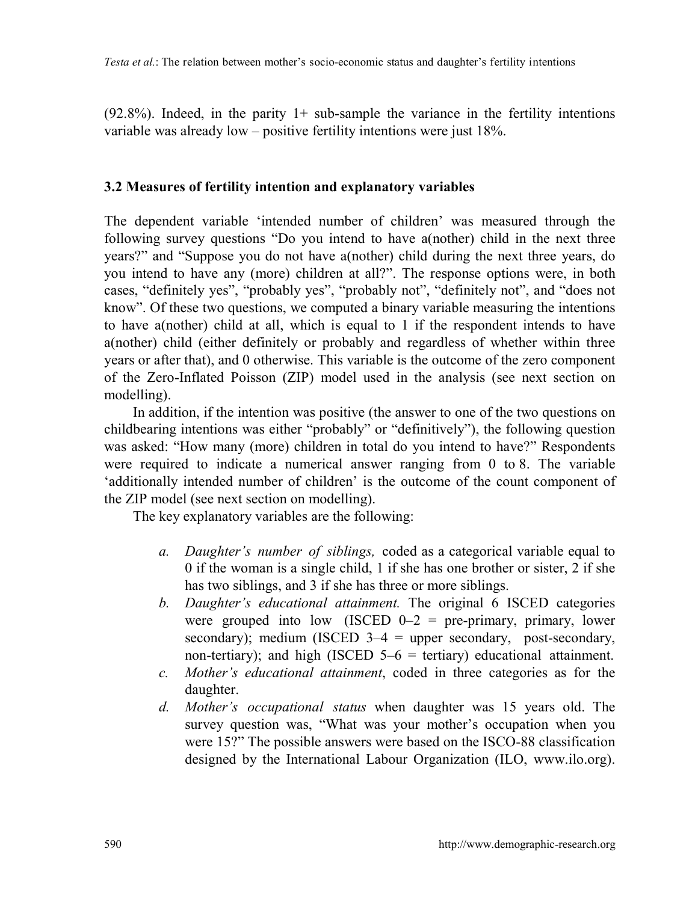$(92.8\%)$ . Indeed, in the parity 1+ sub-sample the variance in the fertility intentions variable was already low – positive fertility intentions were just 18%.

#### **3.2 Measures of fertility intention and explanatory variables**

The dependent variable 'intended number of children' was measured through the following survey questions "Do you intend to have a(nother) child in the next three years?" and "Suppose you do not have a(nother) child during the next three years, do you intend to have any (more) children at all?". The response options were, in both cases, "definitely yes", "probably yes", "probably not", "definitely not", and "does not know". Of these two questions, we computed a binary variable measuring the intentions to have a(nother) child at all, which is equal to 1 if the respondent intends to have a(nother) child (either definitely or probably and regardless of whether within three years or after that), and 0 otherwise. This variable is the outcome of the zero component of the Zero-Inflated Poisson (ZIP) model used in the analysis (see next section on modelling).

In addition, if the intention was positive (the answer to one of the two questions on childbearing intentions was either "probably" or "definitively"), the following question was asked: "How many (more) children in total do you intend to have?" Respondents were required to indicate a numerical answer ranging from 0 to 8. The variable 'additionally intended number of children' is the outcome of the count component of the ZIP model (see next section on modelling).

The key explanatory variables are the following:

- *a. Daughter's number of siblings,* coded as a categorical variable equal to 0 if the woman is a single child, 1 if she has one brother or sister, 2 if she has two siblings, and 3 if she has three or more siblings.
- *b. Daughter's educational attainment.* The original 6 ISCED categories were grouped into low (ISCED  $0-2$  = pre-primary, primary, lower secondary); medium (ISCED  $3-4$  = upper secondary, post-secondary, non-tertiary); and high (ISCED  $5-6$  = tertiary) educational attainment.
- *c. Mother's educational attainment*, coded in three categories as for the daughter.
- *d. Mother's occupational status* when daughter was 15 years old. The survey question was, "What was your mother's occupation when you were 15?" The possible answers were based on the ISCO-88 classification designed by the International Labour Organization (ILO, www.ilo.org).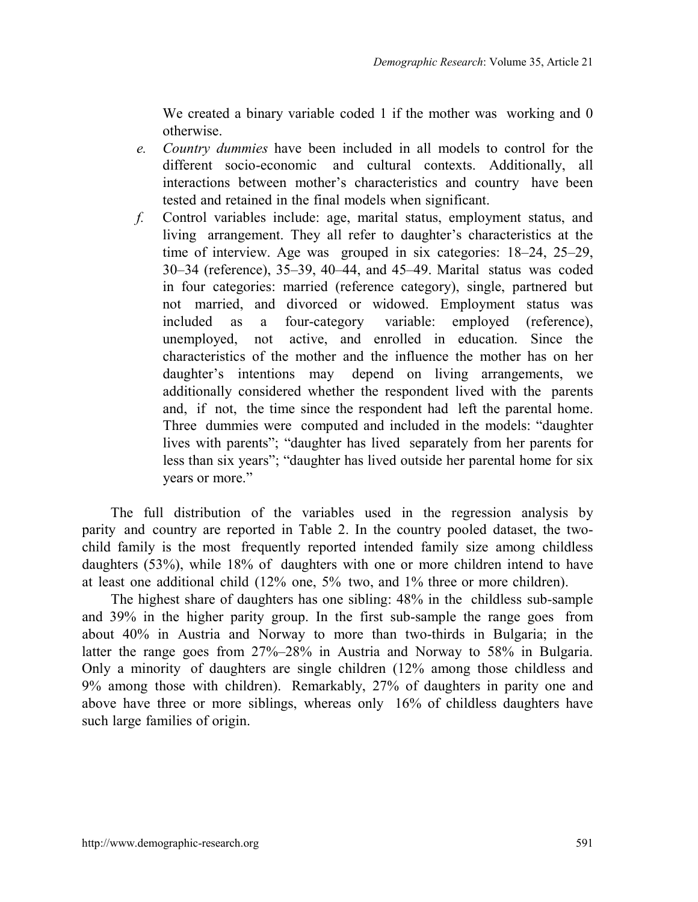We created a binary variable coded 1 if the mother was working and 0 otherwise.

- *e. Country dummies* have been included in all models to control for the different socio-economic and cultural contexts. Additionally, all interactions between mother's characteristics and country have been tested and retained in the final models when significant.
- *f.* Control variables include: age, marital status, employment status, and living arrangement. They all refer to daughter's characteristics at the time of interview. Age was grouped in six categories: 18–24, 25–29, 30–34 (reference), 35–39, 40–44, and 45–49. Marital status was coded in four categories: married (reference category), single, partnered but not married, and divorced or widowed. Employment status was included as a four-category variable: employed (reference), unemployed, not active, and enrolled in education. Since the characteristics of the mother and the influence the mother has on her daughter's intentions may depend on living arrangements, we additionally considered whether the respondent lived with the parents and, if not, the time since the respondent had left the parental home. Three dummies were computed and included in the models: "daughter lives with parents"; "daughter has lived separately from her parents for less than six years"; "daughter has lived outside her parental home for six years or more."

The full distribution of the variables used in the regression analysis by parity and country are reported in Table 2. In the country pooled dataset, the twochild family is the most frequently reported intended family size among childless daughters (53%), while 18% of daughters with one or more children intend to have at least one additional child (12% one, 5% two, and 1% three or more children).

The highest share of daughters has one sibling: 48% in the childless sub-sample and 39% in the higher parity group. In the first sub-sample the range goes from about 40% in Austria and Norway to more than two-thirds in Bulgaria; in the latter the range goes from 27%–28% in Austria and Norway to 58% in Bulgaria. Only a minority of daughters are single children (12% among those childless and 9% among those with children). Remarkably, 27% of daughters in parity one and above have three or more siblings, whereas only 16% of childless daughters have such large families of origin.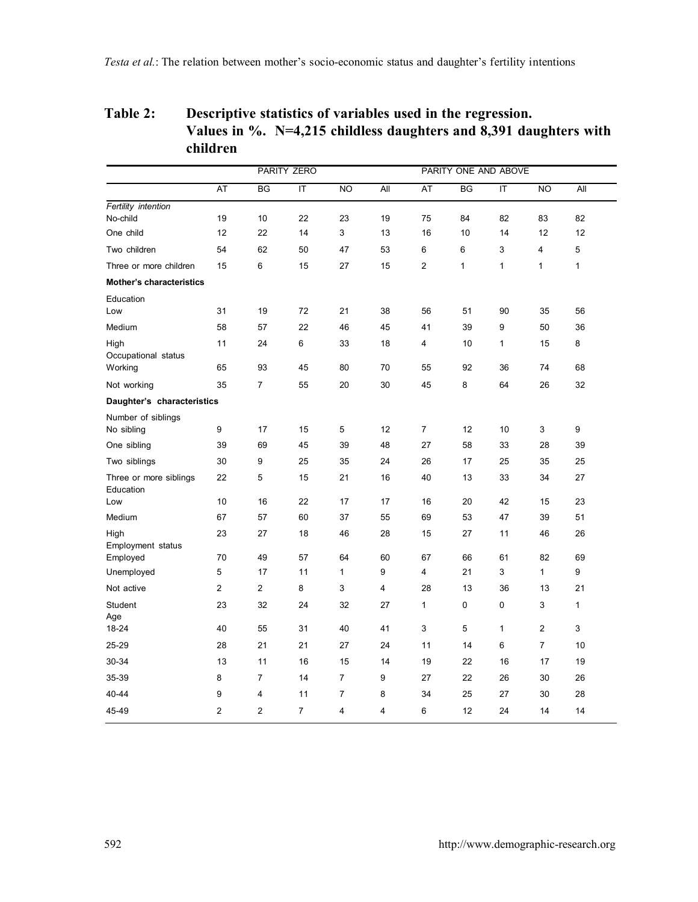## **Table 2: Descriptive statistics of variables used in the regression. Values in %. N=4,215 childless daughters and 8,391 daughters with children**

|                                     |                |                | PARITY ZERO             |                |     |                | PARITY ONE AND ABOVE |                         |                |              |  |
|-------------------------------------|----------------|----------------|-------------------------|----------------|-----|----------------|----------------------|-------------------------|----------------|--------------|--|
|                                     | AT             | BG             | $\overline{\mathsf{I}}$ | <b>NO</b>      | All | AT             | BG                   | $\overline{\mathsf{T}}$ | N <sub>O</sub> | All          |  |
| Fertility intention                 |                |                |                         |                |     |                |                      |                         |                |              |  |
| No-child                            | 19             | 10             | 22                      | 23             | 19  | 75             | 84                   | 82                      | 83             | 82           |  |
| One child                           | 12             | 22             | 14                      | 3              | 13  | 16             | 10                   | 14                      | 12             | 12           |  |
| Two children                        | 54             | 62             | 50                      | 47             | 53  | 6              | 6                    | 3                       | 4              | 5            |  |
| Three or more children              | 15             | 6              | 15                      | 27             | 15  | 2              | 1                    | $\mathbf{1}$            | 1              | 1            |  |
| Mother's characteristics            |                |                |                         |                |     |                |                      |                         |                |              |  |
| Education                           |                |                |                         |                |     |                |                      |                         |                |              |  |
| Low                                 | 31             | 19             | 72                      | 21             | 38  | 56             | 51                   | 90                      | 35             | 56           |  |
| Medium                              | 58             | 57             | 22                      | 46             | 45  | 41             | 39                   | 9                       | 50             | 36           |  |
| High                                | 11             | 24             | 6                       | 33             | 18  | 4              | 10                   | $\mathbf{1}$            | 15             | 8            |  |
| Occupational status                 | 65             | 93             | 45                      | 80             | 70  | 55             | 92                   | 36                      | 74             | 68           |  |
| Working                             |                |                |                         |                |     |                |                      |                         |                |              |  |
| Not working                         | 35             | $\overline{7}$ | 55                      | 20             | 30  | 45             | 8                    | 64                      | 26             | 32           |  |
| Daughter's characteristics          |                |                |                         |                |     |                |                      |                         |                |              |  |
| Number of siblings                  | 9              | 17             | 15                      | 5              | 12  | $\overline{7}$ | 12                   | 10                      |                | 9            |  |
| No sibling                          | 39             | 69             | 45                      | 39             | 48  | 27             | 58                   | 33                      | 3<br>28        | 39           |  |
| One sibling                         |                |                |                         |                |     |                |                      |                         |                |              |  |
| Two siblings                        | 30             | 9              | 25                      | 35             | 24  | 26             | 17                   | 25                      | 35             | 25           |  |
| Three or more siblings<br>Education | 22             | 5              | 15                      | 21             | 16  | 40             | 13                   | 33                      | 34             | 27           |  |
| Low                                 | 10             | 16             | 22                      | 17             | 17  | 16             | 20                   | 42                      | 15             | 23           |  |
| Medium                              | 67             | 57             | 60                      | 37             | 55  | 69             | 53                   | 47                      | 39             | 51           |  |
| High                                | 23             | 27             | 18                      | 46             | 28  | 15             | 27                   | 11                      | 46             | 26           |  |
| Employment status                   |                |                |                         |                |     |                |                      |                         |                |              |  |
| Employed                            | 70             | 49             | 57                      | 64             | 60  | 67             | 66                   | 61                      | 82             | 69           |  |
| Unemployed                          | 5              | 17             | 11                      | 1              | 9   | 4              | 21                   | 3                       | $\mathbf{1}$   | 9            |  |
| Not active                          | $\overline{2}$ | $\overline{2}$ | 8                       | 3              | 4   | 28             | 13                   | 36                      | 13             | 21           |  |
| Student                             | 23             | 32             | 24                      | 32             | 27  | 1              | 0                    | 0                       | 3              | $\mathbf{1}$ |  |
| Age<br>18-24                        | 40             | 55             | 31                      | 40             | 41  | 3              | 5                    | 1                       | $\overline{2}$ | 3            |  |
| 25-29                               | 28             | 21             | 21                      | 27             | 24  | 11             | 14                   | 6                       | $\overline{7}$ | 10           |  |
|                                     |                |                |                         |                |     |                |                      |                         |                |              |  |
| 30-34                               | 13             | 11             | 16                      | 15             | 14  | 19             | 22                   | 16                      | 17             | 19           |  |
| 35-39                               | 8              | $\overline{7}$ | 14                      | $\overline{7}$ | 9   | 27             | 22                   | 26                      | 30             | 26           |  |
| 40-44                               | 9              | 4              | 11                      | $\overline{7}$ | 8   | 34             | 25                   | 27                      | 30             | 28           |  |
| 45-49                               | $\overline{2}$ | $\overline{2}$ | $\overline{7}$          | 4              | 4   | 6              | 12                   | 24                      | 14             | 14           |  |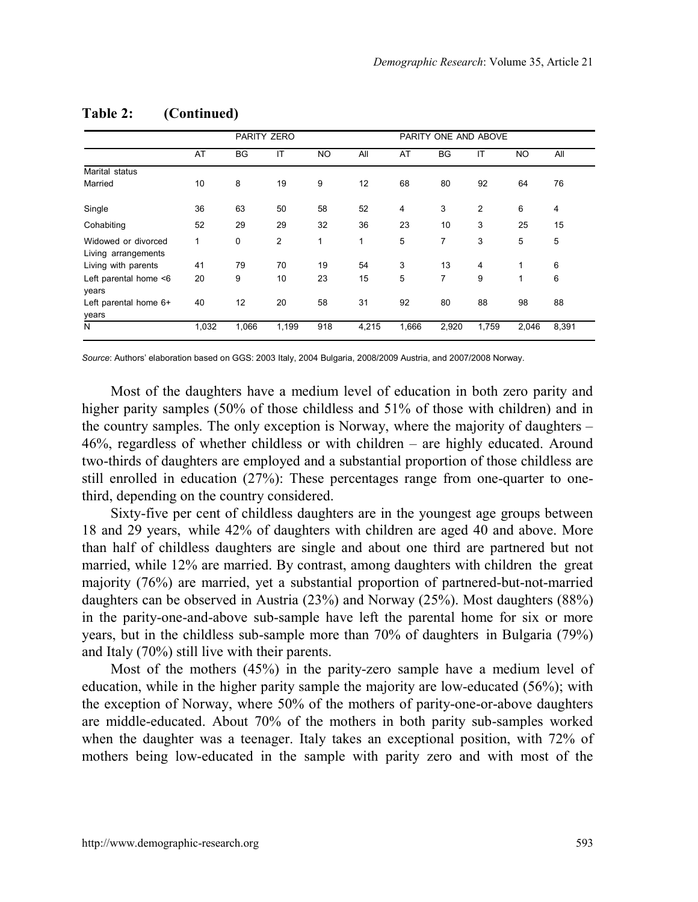|                                            |       | PARITY ZERO |                |           |       |                | PARITY ONE AND ABOVE |                |           |       |
|--------------------------------------------|-------|-------------|----------------|-----------|-------|----------------|----------------------|----------------|-----------|-------|
|                                            | AT    | <b>BG</b>   | IT             | <b>NO</b> | All   | AT             | <b>BG</b>            | IT             | <b>NO</b> | All   |
| Marital status                             |       |             |                |           |       |                |                      |                |           |       |
| Married                                    | 10    | 8           | 19             | 9         | 12    | 68             | 80                   | 92             | 64        | 76    |
| Single                                     | 36    | 63          | 50             | 58        | 52    | $\overline{4}$ | 3                    | $\overline{2}$ | 6         | 4     |
| Cohabiting                                 | 52    | 29          | 29             | 32        | 36    | 23             | 10                   | 3              | 25        | 15    |
| Widowed or divorced<br>Living arrangements | 1     | $\mathbf 0$ | $\overline{2}$ | 1         | 1     | 5              | 7                    | 3              | 5         | 5     |
| Living with parents                        | 41    | 79          | 70             | 19        | 54    | 3              | 13                   | 4              | 1         | 6     |
| Left parental home <6<br>years             | 20    | 9           | 10             | 23        | 15    | 5              | 7                    | 9              | 1         | 6     |
| Left parental home 6+<br>years             | 40    | 12          | 20             | 58        | 31    | 92             | 80                   | 88             | 98        | 88    |
| N                                          | 1,032 | 1,066       | 1,199          | 918       | 4,215 | 1,666          | 2,920                | 1,759          | 2,046     | 8,391 |

#### **Table 2: (Continued)**

*Source*: Authors' elaboration based on GGS: 2003 Italy, 2004 Bulgaria, 2008/2009 Austria, and 2007/2008 Norway.

Most of the daughters have a medium level of education in both zero parity and higher parity samples (50% of those childless and 51% of those with children) and in the country samples. The only exception is Norway, where the majority of daughters  $-$ 46%, regardless of whether childless or with children ‒ are highly educated. Around two-thirds of daughters are employed and a substantial proportion of those childless are still enrolled in education (27%): These percentages range from one-quarter to onethird, depending on the country considered.

Sixty-five per cent of childless daughters are in the youngest age groups between 18 and 29 years, while 42% of daughters with children are aged 40 and above. More than half of childless daughters are single and about one third are partnered but not married, while 12% are married. By contrast, among daughters with children the great majority (76%) are married, yet a substantial proportion of partnered-but-not-married daughters can be observed in Austria (23%) and Norway (25%). Most daughters (88%) in the parity-one-and-above sub-sample have left the parental home for six or more years, but in the childless sub-sample more than 70% of daughters in Bulgaria (79%) and Italy (70%) still live with their parents.

Most of the mothers (45%) in the parity-zero sample have a medium level of education, while in the higher parity sample the majority are low-educated (56%); with the exception of Norway, where 50% of the mothers of parity-one-or-above daughters are middle-educated. About 70% of the mothers in both parity sub-samples worked when the daughter was a teenager. Italy takes an exceptional position, with 72% of mothers being low-educated in the sample with parity zero and with most of the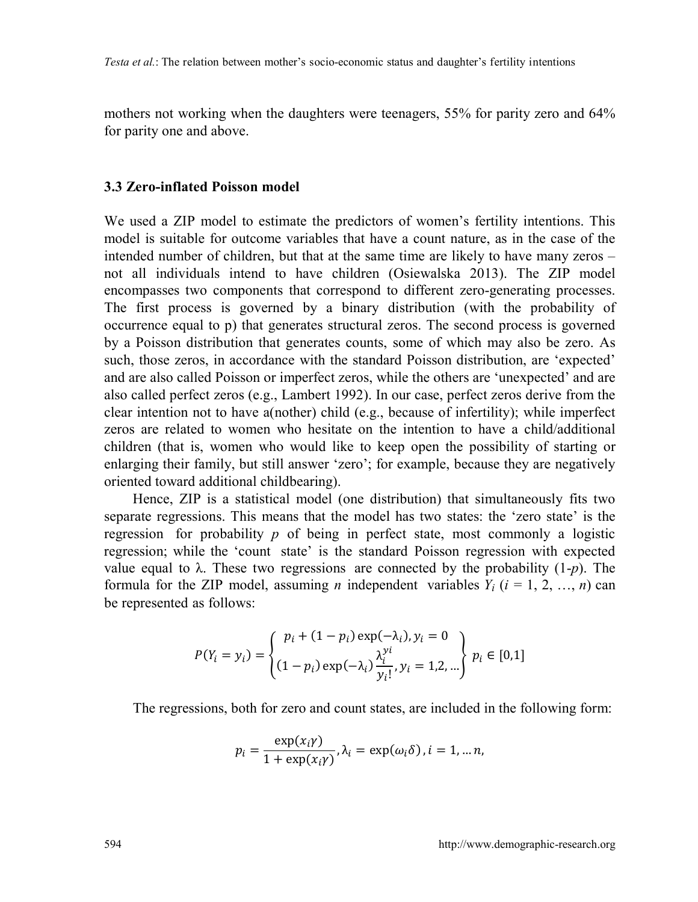mothers not working when the daughters were teenagers, 55% for parity zero and 64% for parity one and above.

#### **3.3 Zero-inflated Poisson model**

We used a ZIP model to estimate the predictors of women's fertility intentions. This model is suitable for outcome variables that have a count nature, as in the case of the intended number of children, but that at the same time are likely to have many zeros  $$ not all individuals intend to have children (Osiewalska 2013). The ZIP model encompasses two components that correspond to different zero-generating processes. The first process is governed by a binary distribution (with the probability of occurrence equal to p) that generates structural zeros. The second process is governed by a Poisson distribution that generates counts, some of which may also be zero. As such, those zeros, in accordance with the standard Poisson distribution, are 'expected' and are also called Poisson or imperfect zeros, while the others are 'unexpected' and are also called perfect zeros (e.g., Lambert 1992). In our case, perfect zeros derive from the clear intention not to have a(nother) child (e.g., because of infertility); while imperfect zeros are related to women who hesitate on the intention to have a child/additional children (that is, women who would like to keep open the possibility of starting or enlarging their family, but still answer 'zero'; for example, because they are negatively oriented toward additional childbearing).

Hence, ZIP is a statistical model (one distribution) that simultaneously fits two separate regressions. This means that the model has two states: the 'zero state' is the regression for probability  $p$  of being in perfect state, most commonly a logistic regression; while the 'count state' is the standard Poisson regression with expected value equal to λ. These two regressions are connected by the probability (1-*p*). The formula for the ZIP model, assuming *n* independent variables  $Y_i$  ( $i = 1, 2, ..., n$ ) can be represented as follows:

$$
P(Y_i = y_i) = \begin{cases} p_i + (1 - p_i) \exp(-\lambda_i), y_i = 0\\ (1 - p_i) \exp(-\lambda_i) \frac{\lambda_i^{yi}}{y_i!}, y_i = 1, 2, ...\end{cases} p_i \in [0, 1]
$$

The regressions, both for zero and count states, are included in the following form:

$$
p_i = \frac{\exp(x_i \gamma)}{1 + \exp(x_i \gamma)}, \lambda_i = \exp(\omega_i \delta), i = 1, \dots n,
$$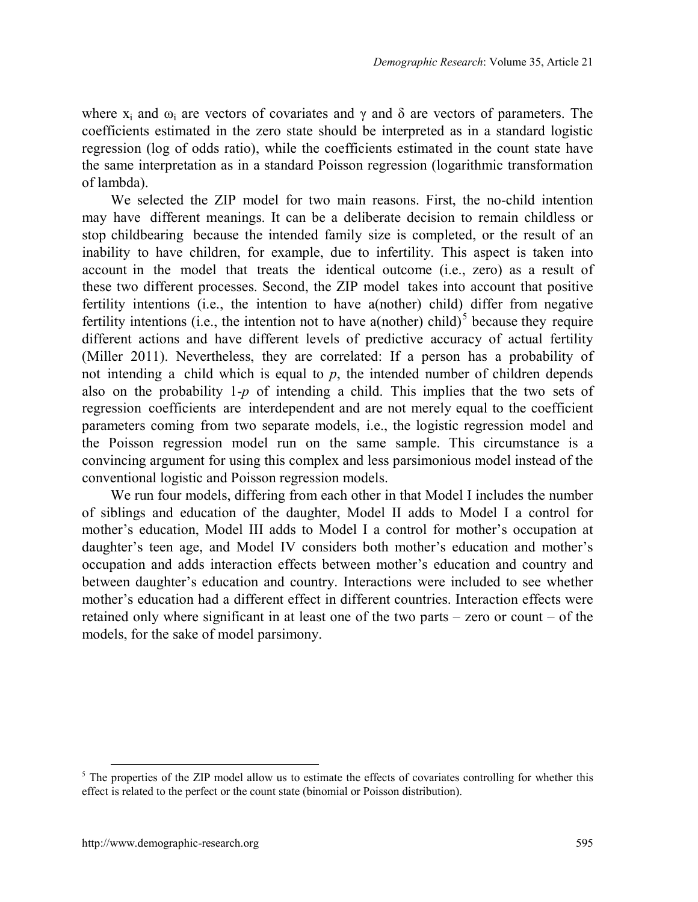where  $x_i$  and  $\omega_i$  are vectors of covariates and  $\gamma$  and  $\delta$  are vectors of parameters. The coefficients estimated in the zero state should be interpreted as in a standard logistic regression (log of odds ratio), while the coefficients estimated in the count state have the same interpretation as in a standard Poisson regression (logarithmic transformation of lambda).

We selected the ZIP model for two main reasons. First, the no-child intention may have different meanings. It can be a deliberate decision to remain childless or stop childbearing because the intended family size is completed, or the result of an inability to have children, for example, due to infertility. This aspect is taken into account in the model that treats the identical outcome (i.e., zero) as a result of these two different processes. Second, the ZIP model takes into account that positive fertility intentions (i.e., the intention to have a(nother) child) differ from negative fertility intentions (i.e., the intention not to have a(nother) child)<sup>[5](#page-17-0)</sup> because they require different actions and have different levels of predictive accuracy of actual fertility (Miller 2011). Nevertheless, they are correlated: If a person has a probability of not intending a child which is equal to *p*, the intended number of children depends also on the probability 1-*p* of intending a child. This implies that the two sets of regression coefficients are interdependent and are not merely equal to the coefficient parameters coming from two separate models, i.e., the logistic regression model and the Poisson regression model run on the same sample. This circumstance is a convincing argument for using this complex and less parsimonious model instead of the conventional logistic and Poisson regression models.

We run four models, differing from each other in that Model I includes the number of siblings and education of the daughter, Model II adds to Model I a control for mother's education, Model III adds to Model I a control for mother's occupation at daughter's teen age, and Model IV considers both mother's education and mother's occupation and adds interaction effects between mother's education and country and between daughter's education and country. Interactions were included to see whether mother's education had a different effect in different countries. Interaction effects were retained only where significant in at least one of the two parts – zero or count – of the models, for the sake of model parsimony.

<span id="page-17-0"></span><sup>&</sup>lt;sup>5</sup> The properties of the ZIP model allow us to estimate the effects of covariates controlling for whether this effect is related to the perfect or the count state (binomial or Poisson distribution).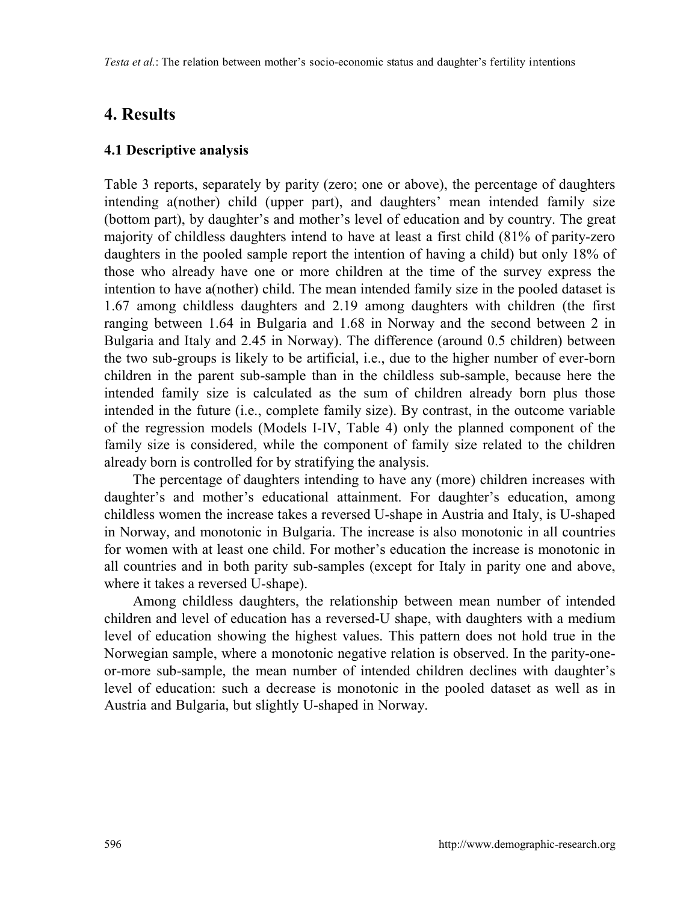## **4. Results**

#### **4.1 Descriptive analysis**

Table 3 reports, separately by parity (zero; one or above), the percentage of daughters intending a(nother) child (upper part), and daughters' mean intended family size (bottom part), by daughter's and mother's level of education and by country. The great majority of childless daughters intend to have at least a first child (81% of parity-zero daughters in the pooled sample report the intention of having a child) but only 18% of those who already have one or more children at the time of the survey express the intention to have a(nother) child. The mean intended family size in the pooled dataset is 1.67 among childless daughters and 2.19 among daughters with children (the first ranging between 1.64 in Bulgaria and 1.68 in Norway and the second between 2 in Bulgaria and Italy and 2.45 in Norway). The difference (around 0.5 children) between the two sub-groups is likely to be artificial, i.e., due to the higher number of ever-born children in the parent sub-sample than in the childless sub-sample, because here the intended family size is calculated as the sum of children already born plus those intended in the future (i.e., complete family size). By contrast, in the outcome variable of the regression models (Models I-IV, Table 4) only the planned component of the family size is considered, while the component of family size related to the children already born is controlled for by stratifying the analysis.

The percentage of daughters intending to have any (more) children increases with daughter's and mother's educational attainment. For daughter's education, among childless women the increase takes a reversed U-shape in Austria and Italy, is U-shaped in Norway, and monotonic in Bulgaria. The increase is also monotonic in all countries for women with at least one child. For mother's education the increase is monotonic in all countries and in both parity sub-samples (except for Italy in parity one and above, where it takes a reversed U-shape).

Among childless daughters, the relationship between mean number of intended children and level of education has a reversed-U shape, with daughters with a medium level of education showing the highest values. This pattern does not hold true in the Norwegian sample, where a monotonic negative relation is observed. In the parity-oneor-more sub-sample, the mean number of intended children declines with daughter's level of education: such a decrease is monotonic in the pooled dataset as well as in Austria and Bulgaria, but slightly U-shaped in Norway.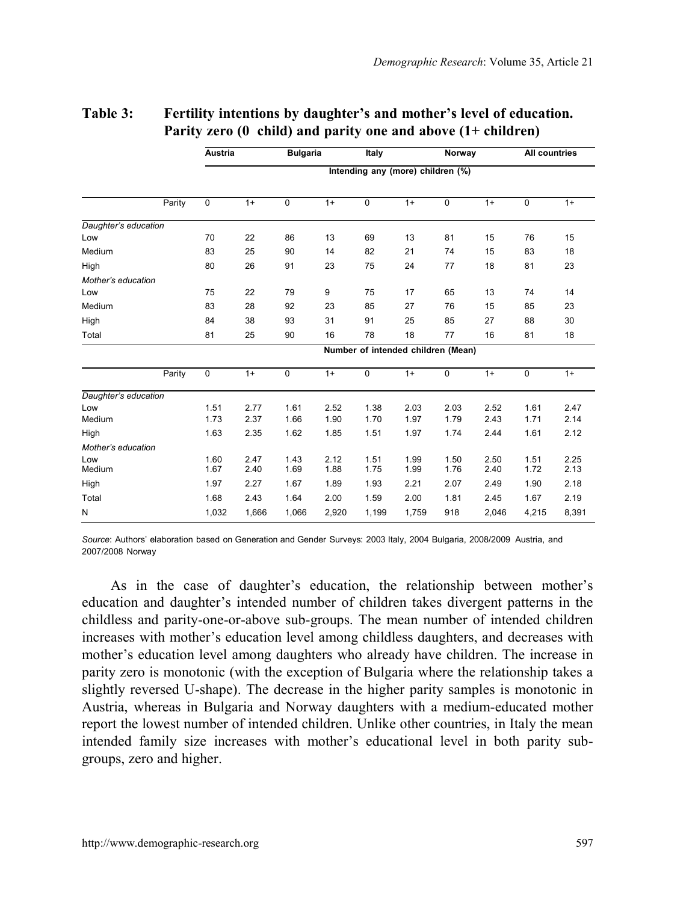|                      |        | Austria        |              | <b>Bulgaria</b> |              | Italy                              |              | Norway         |              | All countries  |              |
|----------------------|--------|----------------|--------------|-----------------|--------------|------------------------------------|--------------|----------------|--------------|----------------|--------------|
|                      |        |                |              |                 |              | Intending any (more) children (%)  |              |                |              |                |              |
|                      | Parity | $\overline{0}$ | $1+$         | $\overline{0}$  | $1+$         | $\overline{0}$                     | $1+$         | $\overline{0}$ | $1+$         | $\overline{0}$ | $1+$         |
| Daughter's education |        |                |              |                 |              |                                    |              |                |              |                |              |
| Low                  |        | 70             | 22           | 86              | 13           | 69                                 | 13           | 81             | 15           | 76             | 15           |
| Medium               |        | 83             | 25           | 90              | 14           | 82                                 | 21           | 74             | 15           | 83             | 18           |
| High                 |        | 80             | 26           | 91              | 23           | 75                                 | 24           | 77             | 18           | 81             | 23           |
| Mother's education   |        |                |              |                 |              |                                    |              |                |              |                |              |
| Low                  |        | 75             | 22           | 79              | 9            | 75                                 | 17           | 65             | 13           | 74             | 14           |
| Medium               |        | 83             | 28           | 92              | 23           | 85                                 | 27           | 76             | 15           | 85             | 23           |
| High                 |        | 84             | 38           | 93              | 31           | 91                                 | 25           | 85             | 27           | 88             | 30           |
| Total                |        | 81             | 25           | 90              | 16           | 78                                 | 18           | 77             | 16           | 81             | 18           |
|                      |        |                |              |                 |              | Number of intended children (Mean) |              |                |              |                |              |
|                      | Parity | $\overline{0}$ | $1+$         | $\overline{0}$  | $1+$         | $\overline{0}$                     | $1+$         | $\overline{0}$ | $1+$         | $\overline{0}$ | $1+$         |
| Daughter's education |        |                |              |                 |              |                                    |              |                |              |                |              |
| Low                  |        | 1.51           | 2.77         | 1.61            | 2.52         | 1.38                               | 2.03         | 2.03           | 2.52         | 1.61           | 2.47         |
| Medium               |        | 1.73           | 2.37         | 1.66            | 1.90         | 1.70                               | 1.97         | 1.79           | 2.43         | 1.71           | 2.14         |
| High                 |        | 1.63           | 2.35         | 1.62            | 1.85         | 1.51                               | 1.97         | 1.74           | 2.44         | 1.61           | 2.12         |
| Mother's education   |        |                |              |                 |              |                                    |              |                |              |                |              |
| Low<br>Medium        |        | 1.60<br>1.67   | 2.47<br>2.40 | 1.43<br>1.69    | 2.12<br>1.88 | 1.51<br>1.75                       | 1.99<br>1.99 | 1.50<br>1.76   | 2.50<br>2.40 | 1.51<br>1.72   | 2.25<br>2.13 |
| High                 |        | 1.97           | 2.27         | 1.67            | 1.89         | 1.93                               | 2.21         | 2.07           | 2.49         | 1.90           | 2.18         |
| Total                |        | 1.68           | 2.43         | 1.64            | 2.00         | 1.59                               | 2.00         | 1.81           | 2.45         | 1.67           | 2.19         |
| N                    |        | 1,032          | 1,666        | 1,066           | 2,920        | 1,199                              | 1,759        | 918            | 2,046        | 4,215          | 8,391        |

#### **Table 3: Fertility intentions by daughter's and mother's level of education. Parity zero (0 child) and parity one and above (1+ children)**

*Source*: Authors' elaboration based on Generation and Gender Surveys: 2003 Italy, 2004 Bulgaria, 2008/2009 Austria, and 2007/2008 Norway

As in the case of daughter's education, the relationship between mother's education and daughter's intended number of children takes divergent patterns in the childless and parity-one-or-above sub-groups. The mean number of intended children increases with mother's education level among childless daughters, and decreases with mother's education level among daughters who already have children. The increase in parity zero is monotonic (with the exception of Bulgaria where the relationship takes a slightly reversed U-shape). The decrease in the higher parity samples is monotonic in Austria, whereas in Bulgaria and Norway daughters with a medium-educated mother report the lowest number of intended children. Unlike other countries, in Italy the mean intended family size increases with mother's educational level in both parity subgroups, zero and higher.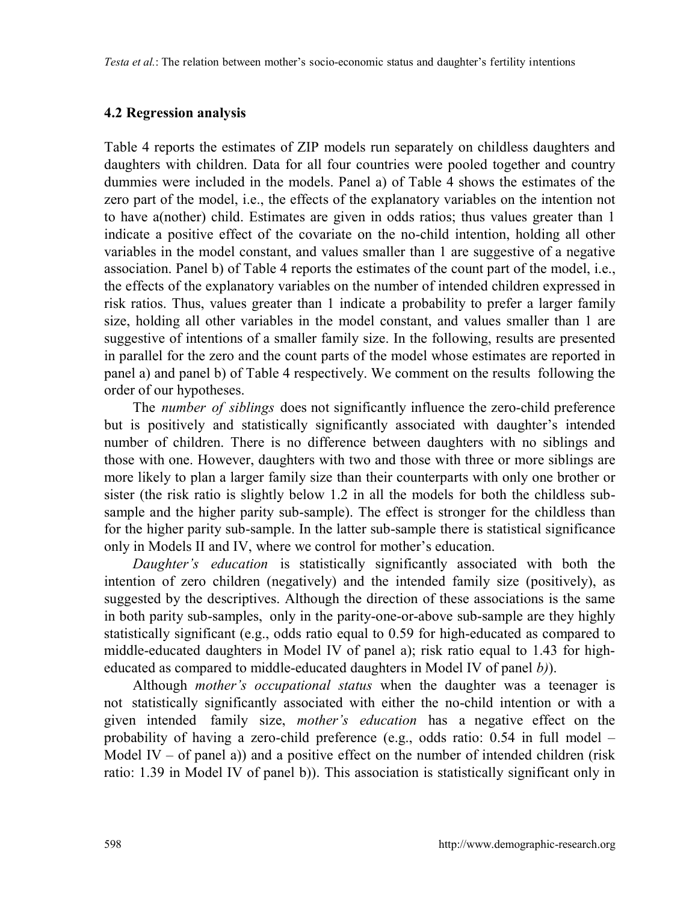#### **4.2 Regression analysis**

Table 4 reports the estimates of ZIP models run separately on childless daughters and daughters with children. Data for all four countries were pooled together and country dummies were included in the models. Panel a) of Table 4 shows the estimates of the zero part of the model, i.e., the effects of the explanatory variables on the intention not to have a(nother) child. Estimates are given in odds ratios; thus values greater than 1 indicate a positive effect of the covariate on the no-child intention, holding all other variables in the model constant, and values smaller than 1 are suggestive of a negative association. Panel b) of Table 4 reports the estimates of the count part of the model, i.e., the effects of the explanatory variables on the number of intended children expressed in risk ratios. Thus, values greater than 1 indicate a probability to prefer a larger family size, holding all other variables in the model constant, and values smaller than 1 are suggestive of intentions of a smaller family size. In the following, results are presented in parallel for the zero and the count parts of the model whose estimates are reported in panel a) and panel b) of Table 4 respectively. We comment on the results following the order of our hypotheses.

The *number of siblings* does not significantly influence the zero-child preference but is positively and statistically significantly associated with daughter's intended number of children. There is no difference between daughters with no siblings and those with one. However, daughters with two and those with three or more siblings are more likely to plan a larger family size than their counterparts with only one brother or sister (the risk ratio is slightly below 1.2 in all the models for both the childless subsample and the higher parity sub-sample). The effect is stronger for the childless than for the higher parity sub-sample. In the latter sub-sample there is statistical significance only in Models II and IV, where we control for mother's education.

*Daughter's education* is statistically significantly associated with both the intention of zero children (negatively) and the intended family size (positively), as suggested by the descriptives. Although the direction of these associations is the same in both parity sub-samples, only in the parity-one-or-above sub-sample are they highly statistically significant (e.g., odds ratio equal to 0.59 for high-educated as compared to middle-educated daughters in Model IV of panel a); risk ratio equal to 1.43 for higheducated as compared to middle-educated daughters in Model IV of panel *b)*).

Although *mother's occupational status* when the daughter was a teenager is not statistically significantly associated with either the no-child intention or with a given intended family size, *mother's education* has a negative effect on the probability of having a zero-child preference (e.g., odds ratio: 0.54 in full model – Model IV – of panel a)) and a positive effect on the number of intended children (risk ratio: 1.39 in Model IV of panel b)). This association is statistically significant only in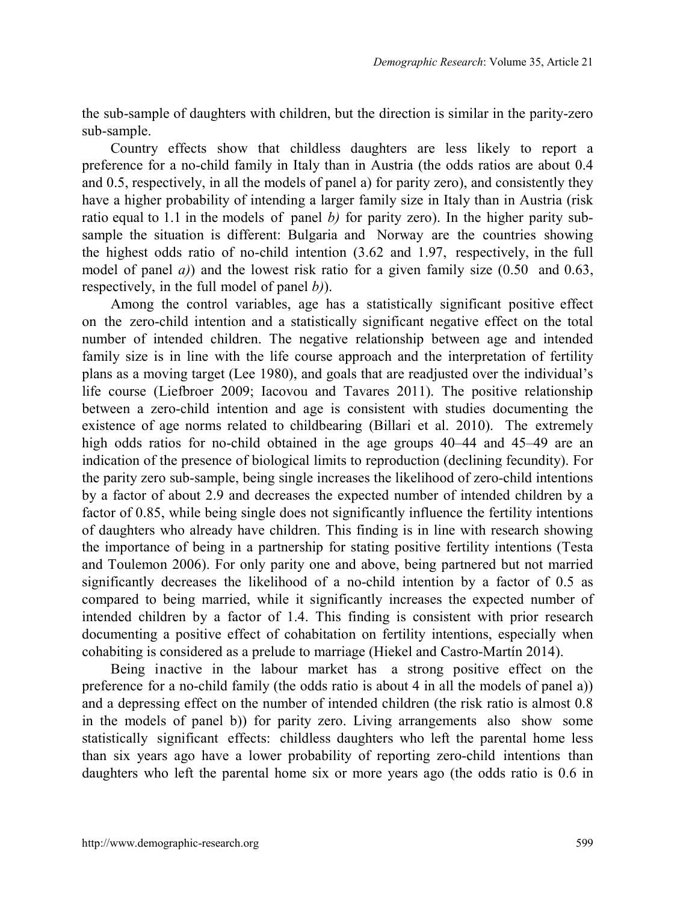the sub-sample of daughters with children, but the direction is similar in the parity-zero sub-sample.

Country effects show that childless daughters are less likely to report a preference for a no-child family in Italy than in Austria (the odds ratios are about 0.4 and 0.5, respectively, in all the models of panel a) for parity zero), and consistently they have a higher probability of intending a larger family size in Italy than in Austria (risk ratio equal to 1.1 in the models of panel *b*) for parity zero). In the higher parity subsample the situation is different: Bulgaria and Norway are the countries showing the highest odds ratio of no-child intention (3.62 and 1.97, respectively, in the full model of panel *a)*) and the lowest risk ratio for a given family size (0.50 and 0.63, respectively, in the full model of panel *b)*).

Among the control variables, age has a statistically significant positive effect on the zero-child intention and a statistically significant negative effect on the total number of intended children. The negative relationship between age and intended family size is in line with the life course approach and the interpretation of fertility plans as a moving target (Lee 1980), and goals that are readjusted over the individual's life course (Liefbroer 2009; Iacovou and Tavares 2011). The positive relationship between a zero-child intention and age is consistent with studies documenting the existence of age norms related to childbearing (Billari et al. 2010). The extremely high odds ratios for no-child obtained in the age groups 40–44 and 45–49 are an indication of the presence of biological limits to reproduction (declining fecundity). For the parity zero sub-sample, being single increases the likelihood of zero-child intentions by a factor of about 2.9 and decreases the expected number of intended children by a factor of 0.85, while being single does not significantly influence the fertility intentions of daughters who already have children. This finding is in line with research showing the importance of being in a partnership for stating positive fertility intentions (Testa and Toulemon 2006). For only parity one and above, being partnered but not married significantly decreases the likelihood of a no-child intention by a factor of 0.5 as compared to being married, while it significantly increases the expected number of intended children by a factor of 1.4. This finding is consistent with prior research documenting a positive effect of cohabitation on fertility intentions, especially when cohabiting is considered as a prelude to marriage (Hiekel and Castro-Martín 2014).

Being inactive in the labour market has a strong positive effect on the preference for a no-child family (the odds ratio is about 4 in all the models of panel a)) and a depressing effect on the number of intended children (the risk ratio is almost 0.8 in the models of panel b)) for parity zero. Living arrangements also show some statistically significant effects: childless daughters who left the parental home less than six years ago have a lower probability of reporting zero-child intentions than daughters who left the parental home six or more years ago (the odds ratio is 0.6 in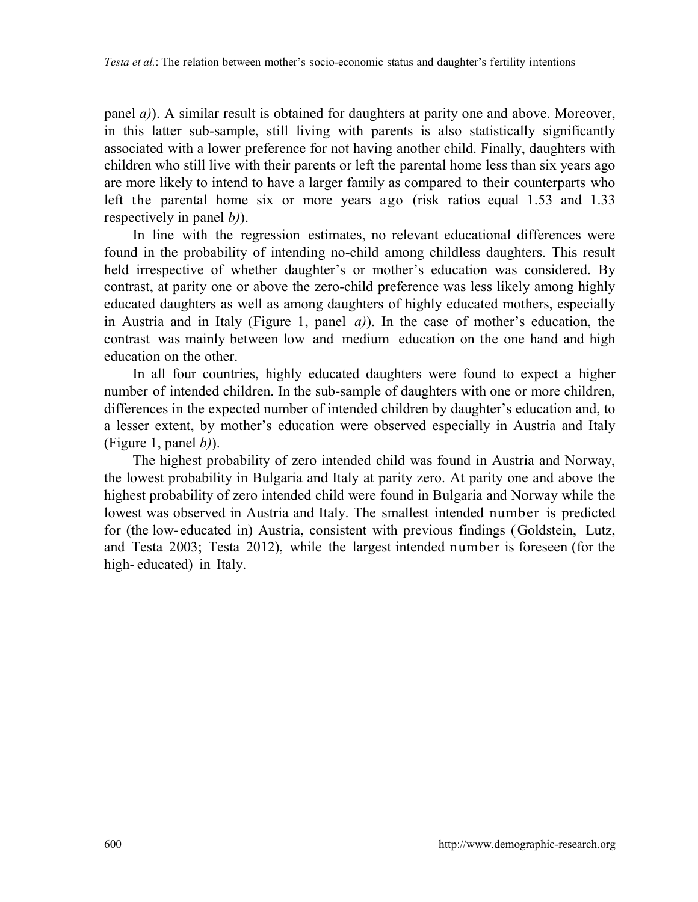panel *a)*). A similar result is obtained for daughters at parity one and above. Moreover, in this latter sub-sample, still living with parents is also statistically significantly associated with a lower preference for not having another child. Finally, daughters with children who still live with their parents or left the parental home less than six years ago are more likely to intend to have a larger family as compared to their counterparts who left the parental home six or more years ago (risk ratios equal 1.53 and 1.33 respectively in panel *b)*).

In line with the regression estimates, no relevant educational differences were found in the probability of intending no-child among childless daughters. This result held irrespective of whether daughter's or mother's education was considered. By contrast, at parity one or above the zero-child preference was less likely among highly educated daughters as well as among daughters of highly educated mothers, especially in Austria and in Italy (Figure 1, panel *a)*). In the case of mother's education, the contrast was mainly between low and medium education on the one hand and high education on the other.

In all four countries, highly educated daughters were found to expect a higher number of intended children. In the sub-sample of daughters with one or more children, differences in the expected number of intended children by daughter's education and, to a lesser extent, by mother's education were observed especially in Austria and Italy (Figure 1, panel *b)*).

The highest probability of zero intended child was found in Austria and Norway, the lowest probability in Bulgaria and Italy at parity zero. At parity one and above the highest probability of zero intended child were found in Bulgaria and Norway while the lowest was observed in Austria and Italy. The smallest intended number is predicted for (the low-educated in) Austria, consistent with previous findings (Goldstein, Lutz, and Testa 2003; Testa 2012), while the largest intended number is foreseen (for the high- educated) in Italy.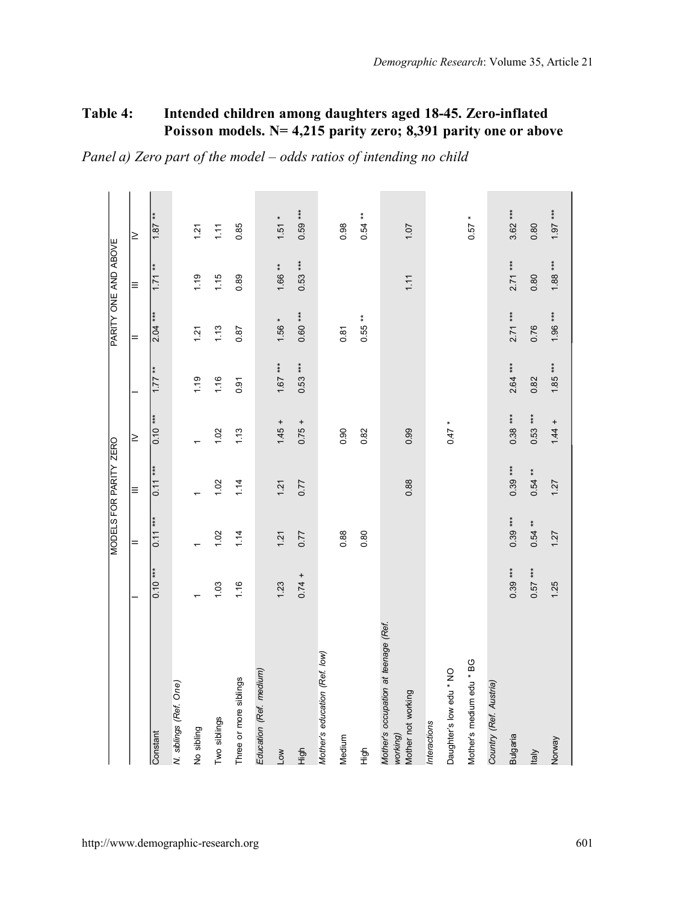## **Table 4: Intended children among daughters aged 18-45. Zero-inflated Poisson models. N= 4,215 parity zero; 8,391 parity one or above**

*Panel a) Zero part of the model – odds ratios of intending no child*

|                                                                        |           |           | MODELS FOR PARITY ZERO |           |           | PARITY ONE AND ABOVE |           |           |
|------------------------------------------------------------------------|-----------|-----------|------------------------|-----------|-----------|----------------------|-----------|-----------|
|                                                                        |           |           |                        |           |           |                      |           |           |
|                                                                        |           | $=$       | $\equiv$               | ≥         |           | =                    | Ξ         | $\geq$    |
| Constant                                                               | $0.10***$ | $0.11***$ | $0.11***$              | $0.10***$ | $1.77**$  | $2.04***$            | ŧ<br>1.71 | $1.87**$  |
| N. siblings (Ref. One)                                                 |           |           |                        |           |           |                      |           |           |
| No sibling                                                             |           |           |                        |           | 1.19      | 1.21                 | 1.19      | 1.21      |
| Two siblings                                                           | 1.03      | 1.02      | 1.02                   | 1.02      | 1.16      | 1.13                 | 1.15      | 1.11      |
| Three or more siblings                                                 | 1.16      | 1.14      | 1.14                   | 1.13      | 0.91      | 0.87                 | 0.89      | 0.85      |
| Education (Ref. medium)                                                |           |           |                        |           |           |                      |           |           |
| Low                                                                    | 1.23      | 1.21      | 1.21                   | $1.45 +$  | $1.67***$ | $1.56 *$             | $1.66**$  | $1.51 *$  |
| High                                                                   | $0.74 +$  | 0.77      | 0.77                   | $0.75 +$  | $0.53***$ | $0.60***$            | $0.53***$ | $0.59***$ |
| Mother's education (Ref. low)                                          |           |           |                        |           |           |                      |           |           |
| Medium                                                                 |           | 0.88      |                        | 0.90      |           | 0.81                 |           | 0.98      |
| も<br>王                                                                 |           | 0.80      |                        | 0.82      |           | $0.55**$             |           | $0.54**$  |
| Mother's occupation at teenage (Ref.<br>Mother not working<br>working) |           |           | 0.88                   | 0.99      |           |                      | 1.11      | 1.07      |
| Interactions                                                           |           |           |                        |           |           |                      |           |           |
| Daughter's low edu * NO                                                |           |           |                        | $0.47$ *  |           |                      |           |           |
| Mother's medium edu * BG                                               |           |           |                        |           |           |                      |           | $0.57$ *  |
| Country (Ref. Austria)                                                 |           |           |                        |           |           |                      |           |           |
| Bulgaria                                                               | $0.39***$ | $0.39***$ | $0.39***$              | $0.38***$ | $2.64***$ | $2.71***$            | $2.71***$ | $3.62***$ |
| ltaly                                                                  | $0.57***$ | $0.54**$  | $0.54**$               | $0.53***$ | 0.82      | 0.76                 | 0.80      | 0.80      |
| Norway                                                                 | 1.25      | 1.27      | 1.27                   | $1.44 +$  | $1.85***$ | 1.96 ***             | $1.88***$ | *** 1.97  |
|                                                                        |           |           |                        |           |           |                      |           |           |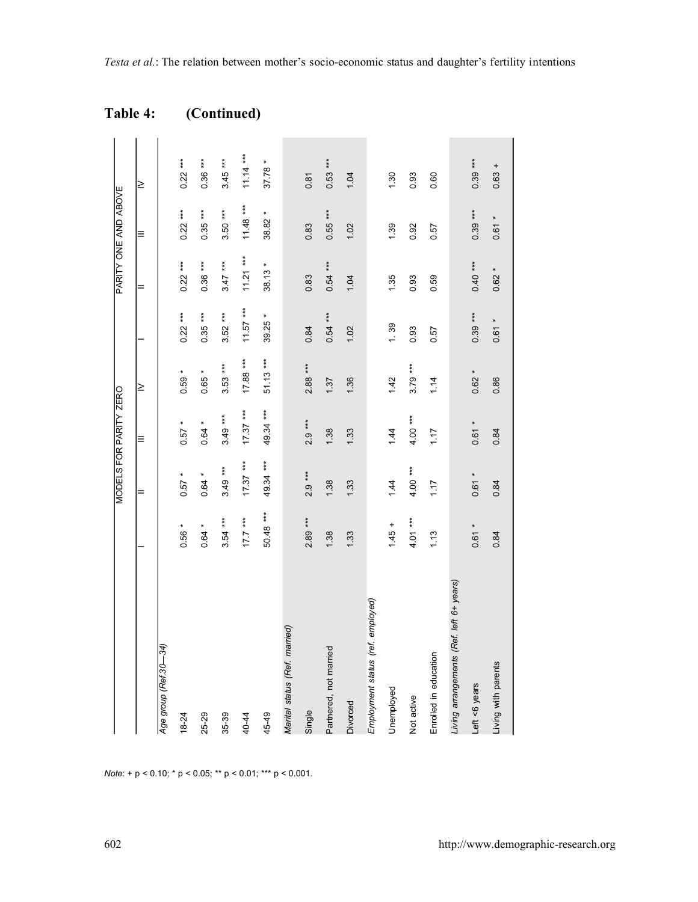# **Table 4: (Continued)**

|                                          |           |            | MODELS FOR PARITY ZERO |            |            |            | PARITY ONE AND ABOVE |            |
|------------------------------------------|-----------|------------|------------------------|------------|------------|------------|----------------------|------------|
|                                          |           | =          | Ξ                      | $\geq$     |            | $=$        | $\equiv$             | ≥          |
| Age group (Ref.30—34)                    |           |            |                        |            |            |            |                      |            |
| $18 - 24$                                | $0.56*$   | $0.57*$    | $0.57*$                | $0.59 *$   | $0.22***$  | $0.22***$  | $0.22***$            | $0.22***$  |
| 25-29                                    | $0.64 *$  | $0.64 *$   | $0.64*$                | $0.65*$    | $0.35***$  | $0.36***$  | $0.35***$            | $0.36***$  |
| 35-39                                    | $3.54***$ | $3.49***$  | $3.49***$              | $3.53***$  | $3.52***$  | $3.47***$  | $3.50***$            | $3.45***$  |
| 40-44                                    | $17.7***$ | $17.37***$ | $17.37***$             | $17.88***$ | $11.57***$ | $11.21***$ | $11.48***$           | $11.14***$ |
| 45-49                                    | 50.48 *** | 49.34 ***  | 49.34 ***              | $51.13***$ | 39.25 *    | $38.13*$   | 38.82 *              | $37.78*$   |
| Marital status (Ref. married)            |           |            |                        |            |            |            |                      |            |
| Single                                   | 2.89 ***  | $2.9***$   | $2.9***$               | $2.88***$  | 0.84       | 0.83       | 0.83                 | 0.81       |
| Partnered, not married                   | 1.38      | 1.38       | 1.38                   | 1.37       | $0.54***$  | $0.54***$  | $0.55***$            | $0.53***$  |
| Divorced                                 | 1.33      | 1.33       | 1.33                   | 1.36       | 1.02       | 1.04       | 1.02                 | 1.04       |
| Employment status (ref. employed)        |           |            |                        |            |            |            |                      |            |
| Unemployed                               | $1.45 +$  | 1.44       | 1.44                   | 1.42       | 1.39       | 1.35       | 1.39                 | 1.30       |
| Not active                               | $4.01***$ | $4.00***$  | $4.00***$              | $3.79***$  | 0.93       | 0.93       | 0.92                 | 0.93       |
| Enrolled in education                    | 1.13      | 1.17       | 1.17                   | 1.14       | 0.57       | 0.59       | 0.57                 | 0.60       |
| Living arrangements (Ref. left 6+ years) |           |            |                        |            |            |            |                      |            |
| Left <6 years                            | $0.61 *$  | $0.61 *$   | $0.61*$                | $0.62 *$   | $0.39***$  | $0.40***$  | $0.39***$            | $0.39***$  |
| Living with parents                      | 0.84      | 0.84       | 0.84                   | 0.86       | $0.61 *$   | $0.62 *$   | $0.61 *$             | $0.63 +$   |
|                                          |           |            |                        |            |            |            |                      |            |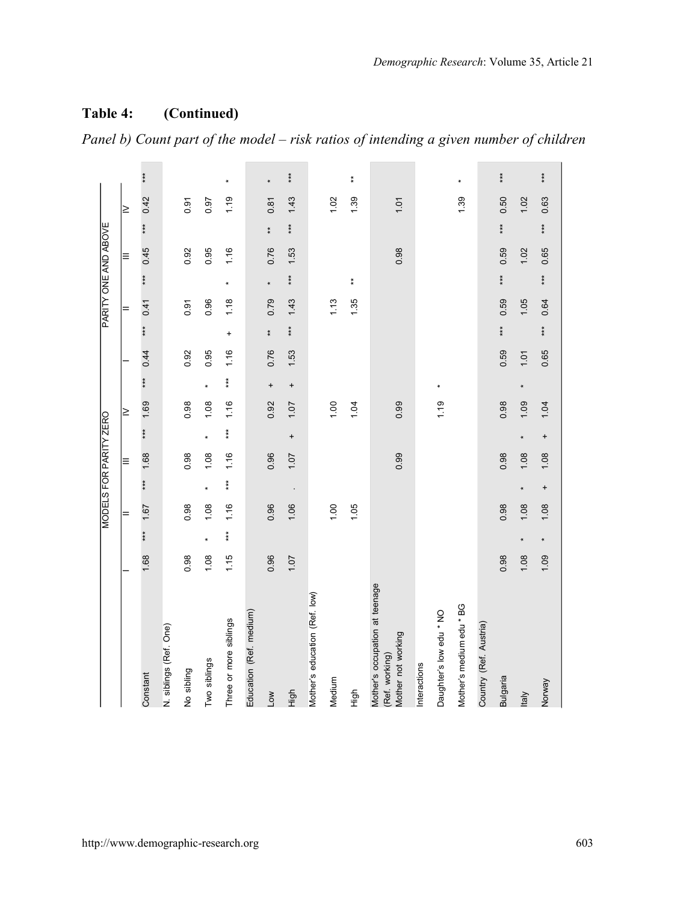$\overline{\phantom{a}}$ 

## **Table 4: (Continued)**

 $\overline{\phantom{a}}$  $\overline{\phantom{a}}$ 

|                                                                        |      |                      | MODELS FOR PARITY ZERO |           |          |           |        |           |      |                   |      |         | PARITY ONE AND ABOVE |               |      |         |
|------------------------------------------------------------------------|------|----------------------|------------------------|-----------|----------|-----------|--------|-----------|------|-------------------|------|---------|----------------------|---------------|------|---------|
|                                                                        |      |                      | $=$                    |           | $\equiv$ |           | $\geq$ |           |      |                   | =    |         | $\equiv$             |               | ≥    |         |
| Constant                                                               | 1.68 | $*$                  | 1.67                   | ***       | 1.68     | $* *$     | 1.69   | ***       | 0.44 | $*$               | 0.41 | $*$     | 0.45                 | $*$           | 0.42 | $***$   |
| N. siblings (Ref. One)                                                 |      |                      |                        |           |          |           |        |           |      |                   |      |         |                      |               |      |         |
| No sibling                                                             | 0.98 |                      | 0.98                   |           | 0.98     |           | 0.98   |           | 0.92 |                   | 0.91 |         | 0.92                 |               | 0.91 |         |
| Two siblings                                                           | 1.08 | $\ddot{\phantom{1}}$ | 1.08                   | $\star$   | 1.08     | $\star$   | 1.08   | $\star$   | 0.95 |                   | 0.96 |         | 0.95                 |               | 0.97 |         |
| Three or more siblings                                                 | 1.15 | $***$                | 1.16                   | $***$     | 1.16     | $***$     | 1.16   | $* * *$   | 1.16 | $\ddot{}$         | 1.18 | $\ast$  | 1.16                 |               | 1.19 | $\ast$  |
| Education (Ref. medium)                                                |      |                      |                        |           |          |           |        |           |      |                   |      |         |                      |               |      |         |
| Low                                                                    | 0.96 |                      | 0.96                   |           | 0.96     |           | 0.92   | $\ddot{}$ | 0.76 | $\stackrel{*}{*}$ | 0.79 | $\star$ | 0.76                 | $\frac{*}{*}$ | 0.81 | $\star$ |
| figh                                                                   | 1.07 |                      | 1.06                   |           | 1.07     | $\ddot{}$ | 1.07   | $\ddot{}$ | 1.53 | $***$             | 1.43 | $***$   | 1.53                 | $***$         | 1.43 | $***$   |
| Mother's education (Ref. low)                                          |      |                      |                        |           |          |           |        |           |      |                   |      |         |                      |               |      |         |
| Medium                                                                 |      |                      | 1.00                   |           |          |           | 1.00   |           |      |                   | 1.13 |         |                      |               | 1.02 |         |
| tigh                                                                   |      |                      | 1.05                   |           |          |           | 1.04   |           |      |                   | 1.35 | ŧ       |                      |               | 1.39 | ŧ       |
| Mother's occupation at teenage<br>Mother not working<br>(Ref. working) |      |                      |                        |           | 0.99     |           | 0.99   |           |      |                   |      |         | 0.98                 |               | 1.01 |         |
| Interactions                                                           |      |                      |                        |           |          |           |        |           |      |                   |      |         |                      |               |      |         |
| Daughter's low edu * NO                                                |      |                      |                        |           |          |           | 1.19   |           |      |                   |      |         |                      |               |      |         |
| Mother's medium edu * BG                                               |      |                      |                        |           |          |           |        |           |      |                   |      |         |                      |               | 1.39 |         |
| Country (Ref. Austria)                                                 |      |                      |                        |           |          |           |        |           |      |                   |      |         |                      |               |      |         |
| Bulgaria                                                               | 0.98 |                      | 0.98                   |           | 0.98     |           | 0.98   |           | 0.59 | $**$              | 0.59 | ***     | 0.59                 | ***           | 0.50 | $* *$   |
| <b>taly</b>                                                            | 1.08 | $\star$              | 1.08                   | $\star$   | 1.08     | $\star$   | 1.09   | ×         | 1.01 |                   | 1.05 |         | 1.02                 |               | 1.02 |         |
| Norway                                                                 | 1.09 | $\star$              | 1.08                   | $\ddot{}$ | 1.08     | $\ddot{}$ | 1.04   |           | 0.65 | ***               | 0.64 | ***     | 0.65                 | ***           | 0.63 | $***$   |
|                                                                        |      |                      |                        |           |          |           |        |           |      |                   |      |         |                      |               |      |         |

*Panel b) Count part of the model – risk ratios of intending a given number of children*

 $\sim$ 

 $\sim$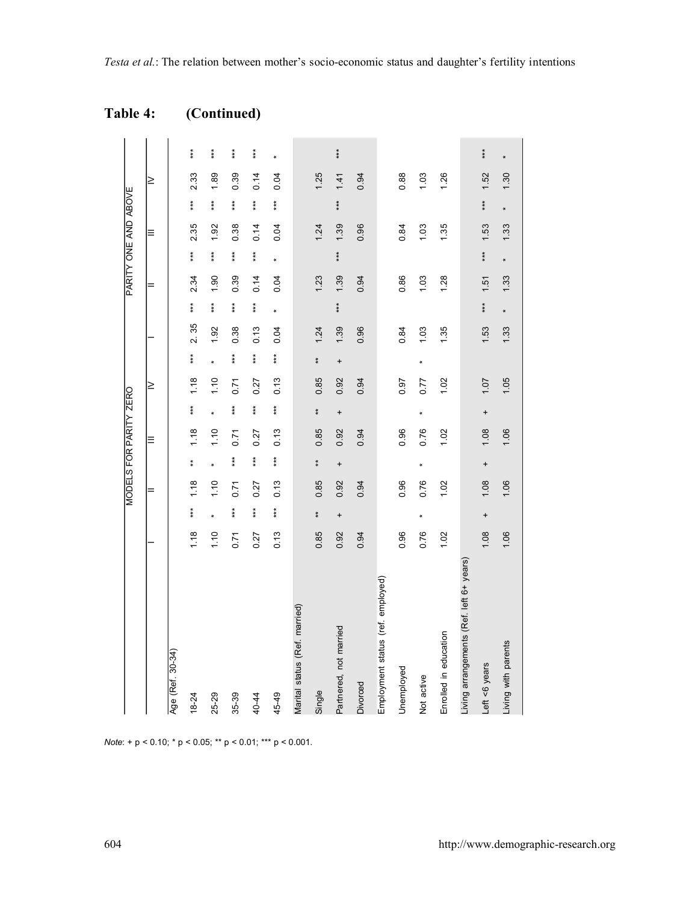|                                          |      |               | MODELS FOR PARITY ZERO |               |      |           |        |               |      |       | PARITY ONE AND ABOVE |               |      |               |        |       |
|------------------------------------------|------|---------------|------------------------|---------------|------|-----------|--------|---------------|------|-------|----------------------|---------------|------|---------------|--------|-------|
|                                          |      |               | =                      |               | Ξ    |           | $\geq$ |               |      |       | $=$                  |               | Ξ    |               | $\geq$ |       |
| Age (Ref. 30-34)                         |      |               |                        |               |      |           |        |               |      |       |                      |               |      |               |        |       |
| $18 - 24$                                | 1,18 | $\ddot{\ast}$ | 1.18                   | $\ddagger$    | 1.18 | $* *$     | 1.18   | $\ddot{*}$    | 2.35 | $**$  | 2.34                 | $\ast\ast$    | 2.35 | $\ddot{\ast}$ | 2.33   | $***$ |
| 25-29                                    | 1.10 | ×             | 1.10                   | ×             | 1.10 | ×         | 1.10   | ×             | 1.92 | $***$ | 1.90                 | $***$         | 1.92 | $***$         | 1.89   | ***   |
| 35-39                                    | 0.71 | $\ddot{\ast}$ | 0.71                   | $\ddot{\ast}$ | 0.71 | ***       | 0.71   | $\ddot{\ast}$ | 0.38 | ***   | 0.39                 | $\ddot{\ast}$ | 0.38 | $\ddot{*}$    | 0.39   | $* *$ |
| 40-44                                    | 0.27 | $***$         | 0.27                   | $***$         | 0.27 | $* * *$   | 0.27   | $***$         | 0.13 | $***$ | 0.14                 | $***$         | 0.14 | $***$         | 0.14   | ***   |
| 45-49                                    | 0.13 | $**$          | 0.13                   | ŧ             | 0.13 | $* * *$   | 0.13   | $**$          | 0.04 | ×     | 0.04                 | ×             | 0.04 | ŧŧ            | 0.04   |       |
| Marital status (Ref. married)            |      |               |                        |               |      |           |        |               |      |       |                      |               |      |               |        |       |
| Single                                   | 0.85 | $\bf{*}$      | 0.85                   | $\bf{*}$      | 0.85 | $*$       | 0.85   | $\bf{*}$      | 1.24 |       | 1.23                 |               | 1.24 |               | 1.25   |       |
| Partnered, not married                   | 0.92 | $\ddot{}$     | 0.92                   | $\ddot{}$     | 0.92 | $\ddot{}$ | 0.92   | $\ddot{}$     | 1.39 | ***   | 1.39                 | ***           | 1.39 | $***$         | 1.41   | ***   |
| Divorced                                 | 0.94 |               | 0.94                   |               | 0.94 |           | 0.94   |               | 0.96 |       | 0.94                 |               | 0.96 |               | 0.94   |       |
| Employment status (ref. employed)        |      |               |                        |               |      |           |        |               |      |       |                      |               |      |               |        |       |
| Unemployed                               | 0.96 |               | 0.96                   |               | 0.96 |           | 0.97   |               | 0.84 |       | 0.86                 |               | 0.84 |               | 0.88   |       |
| Not active                               | 0.76 | ×             | 0.76                   | ×             | 0.76 | ×         | 0.77   | ×             | 1.03 |       | 1.03                 |               | 1.03 |               | 1.03   |       |
| Enrolled in education                    | 1.02 |               | 1.02                   |               | 1.02 |           | 1.02   |               | 1.35 |       | 1.28                 |               | 1.35 |               | 1.26   |       |
| Living arrangements (Ref. left 6+ years) |      |               |                        |               |      |           |        |               |      |       |                      |               |      |               |        |       |
| Left <6 years                            | 1.08 | $\ddot{}$     | 1.08                   | $\ddot{}$     | 1.08 | $\ddot{}$ | 1.07   |               | 1.53 | ***   | 1.51                 | $**$          | 1.53 | ***           | 1.52   | ***   |
| Living with parents                      | 1.06 |               | 1.06                   |               | 1.06 |           | 1.05   |               | 1.33 | ×     | 1.33                 | ×             | 1.33 | ×             | 1.30   |       |

| <b>Table 4:</b> | (Continued) |
|-----------------|-------------|
|-----------------|-------------|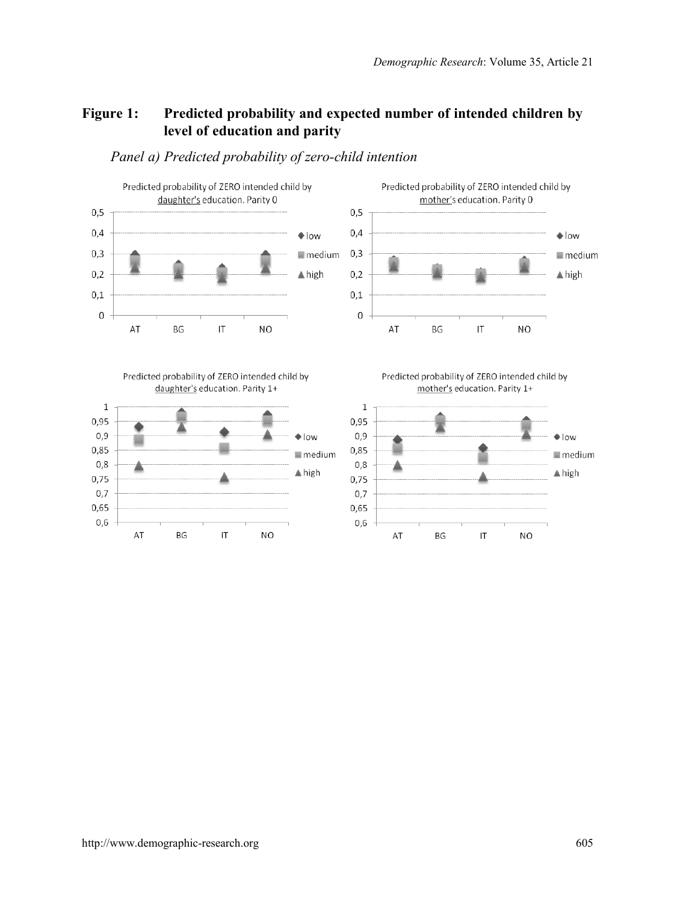## **Figure 1: Predicted probability and expected number of intended children by level of education and parity**



AT

BG

 $\overline{1}$ 

N<sub>O</sub>

#### *Panel a) Predicted probability of zero-child intention*

AT

 $\overline{1}$ 

N<sub>O</sub>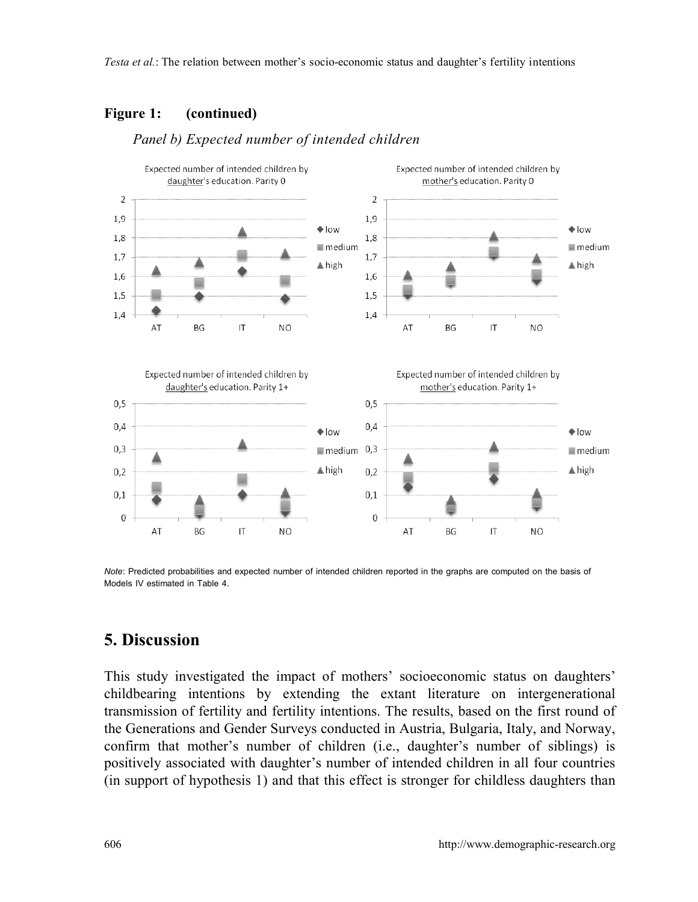#### **Figure 1: (continued)**



#### *Panel b) Expected number of intended children*

*Note*: Predicted probabilities and expected number of intended children reported in the graphs are computed on the basis of Models IV estimated in Table 4.

## **5. Discussion**

This study investigated the impact of mothers' socioeconomic status on daughters' childbearing intentions by extending the extant literature on intergenerational transmission of fertility and fertility intentions. The results, based on the first round of the Generations and Gender Surveys conducted in Austria, Bulgaria, Italy, and Norway, confirm that mother's number of children (i.e., daughter's number of siblings) is positively associated with daughter's number of intended children in all four countries (in support of hypothesis 1) and that this effect is stronger for childless daughters than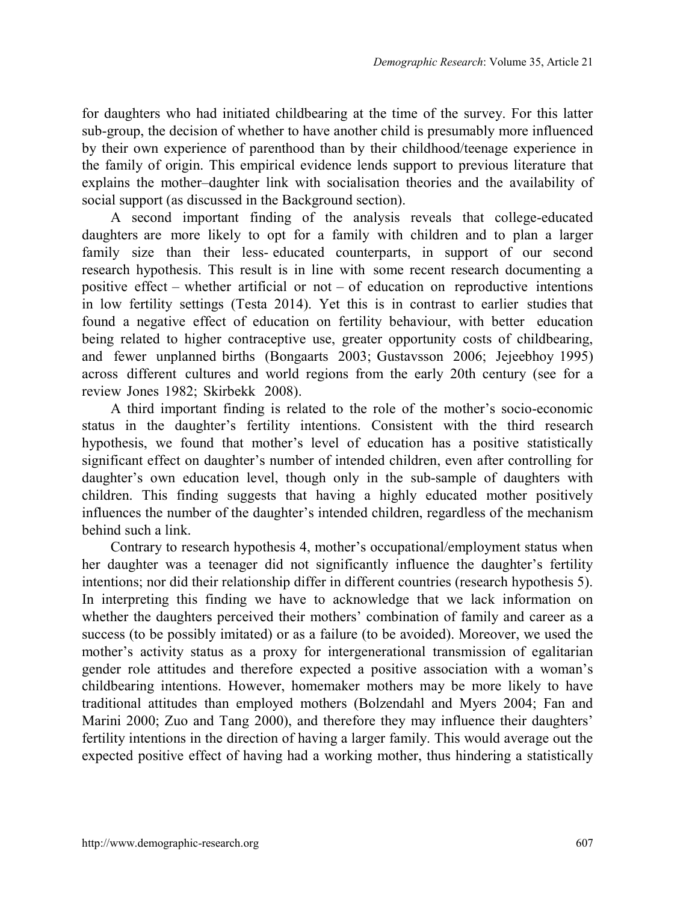for daughters who had initiated childbearing at the time of the survey. For this latter sub-group, the decision of whether to have another child is presumably more influenced by their own experience of parenthood than by their childhood/teenage experience in the family of origin. This empirical evidence lends support to previous literature that explains the mother–daughter link with socialisation theories and the availability of social support (as discussed in the Background section).

A second important finding of the analysis reveals that college-educated daughters are more likely to opt for a family with children and to plan a larger family size than their less- educated counterparts, in support of our second research hypothesis. This result is in line with some recent research documenting a positive effect  $-$  whether artificial or not  $-$  of education on reproductive intentions in low fertility settings (Testa 2014). Yet this is in contrast to earlier studies that found a negative effect of education on fertility behaviour, with better education being related to higher contraceptive use, greater opportunity costs of childbearing, and fewer unplanned births (Bongaarts 2003; Gustavsson 2006; Jejeebhoy 1995) across different cultures and world regions from the early 20th century (see for a review Jones 1982; Skirbekk 2008).

A third important finding is related to the role of the mother's socio-economic status in the daughter's fertility intentions. Consistent with the third research hypothesis, we found that mother's level of education has a positive statistically significant effect on daughter's number of intended children, even after controlling for daughter's own education level, though only in the sub-sample of daughters with children. This finding suggests that having a highly educated mother positively influences the number of the daughter's intended children, regardless of the mechanism behind such a link.

Contrary to research hypothesis 4, mother's occupational/employment status when her daughter was a teenager did not significantly influence the daughter's fertility intentions; nor did their relationship differ in different countries (research hypothesis 5). In interpreting this finding we have to acknowledge that we lack information on whether the daughters perceived their mothers' combination of family and career as a success (to be possibly imitated) or as a failure (to be avoided). Moreover, we used the mother's activity status as a proxy for intergenerational transmission of egalitarian gender role attitudes and therefore expected a positive association with a woman's childbearing intentions. However, homemaker mothers may be more likely to have traditional attitudes than employed mothers (Bolzendahl and Myers 2004; Fan and Marini 2000; Zuo and Tang 2000), and therefore they may influence their daughters' fertility intentions in the direction of having a larger family. This would average out the expected positive effect of having had a working mother, thus hindering a statistically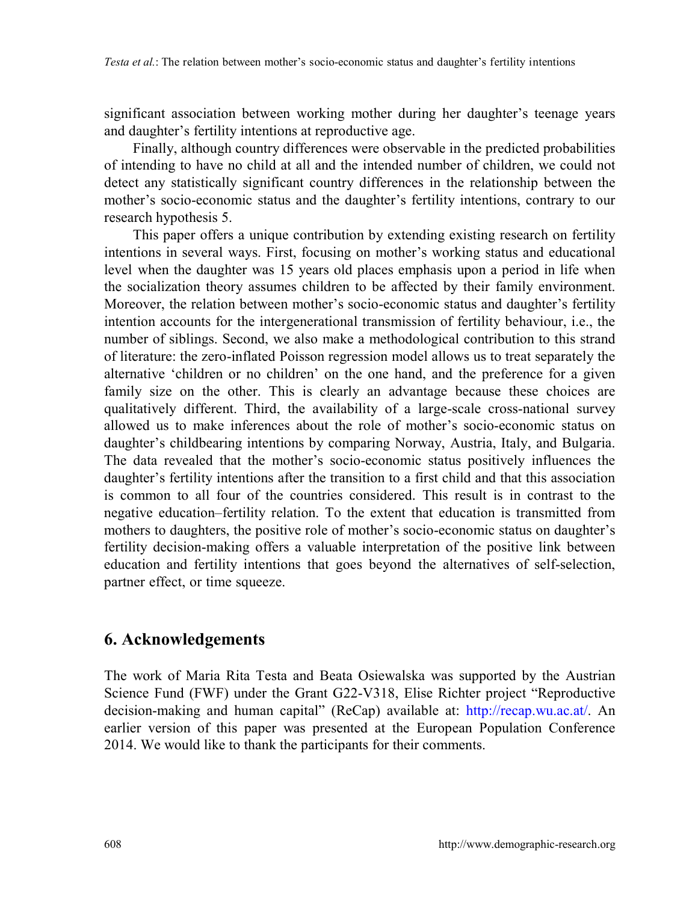significant association between working mother during her daughter's teenage years and daughter's fertility intentions at reproductive age.

Finally, although country differences were observable in the predicted probabilities of intending to have no child at all and the intended number of children, we could not detect any statistically significant country differences in the relationship between the mother's socio-economic status and the daughter's fertility intentions, contrary to our research hypothesis 5.

This paper offers a unique contribution by extending existing research on fertility intentions in several ways. First, focusing on mother's working status and educational level when the daughter was 15 years old places emphasis upon a period in life when the socialization theory assumes children to be affected by their family environment. Moreover, the relation between mother's socio-economic status and daughter's fertility intention accounts for the intergenerational transmission of fertility behaviour, i.e., the number of siblings. Second, we also make a methodological contribution to this strand of literature: the zero-inflated Poisson regression model allows us to treat separately the alternative 'children or no children' on the one hand, and the preference for a given family size on the other. This is clearly an advantage because these choices are qualitatively different. Third, the availability of a large-scale cross-national survey allowed us to make inferences about the role of mother's socio-economic status on daughter's childbearing intentions by comparing Norway, Austria, Italy, and Bulgaria. The data revealed that the mother's socio-economic status positively influences the daughter's fertility intentions after the transition to a first child and that this association is common to all four of the countries considered. This result is in contrast to the negative education–fertility relation. To the extent that education is transmitted from mothers to daughters, the positive role of mother's socio-economic status on daughter's fertility decision-making offers a valuable interpretation of the positive link between education and fertility intentions that goes beyond the alternatives of self-selection, partner effect, or time squeeze.

# **6. Acknowledgements**

The work of Maria Rita Testa and Beata Osiewalska was supported by the Austrian Science Fund (FWF) under the Grant G22-V318, Elise Richter project "Reproductive decision-making and human capital" (ReCap) available at: [http://recap.wu.ac.at/.](http://recap.wu.ac.at/) An earlier version of this paper was presented at the European Population Conference 2014. We would like to thank the participants for their comments.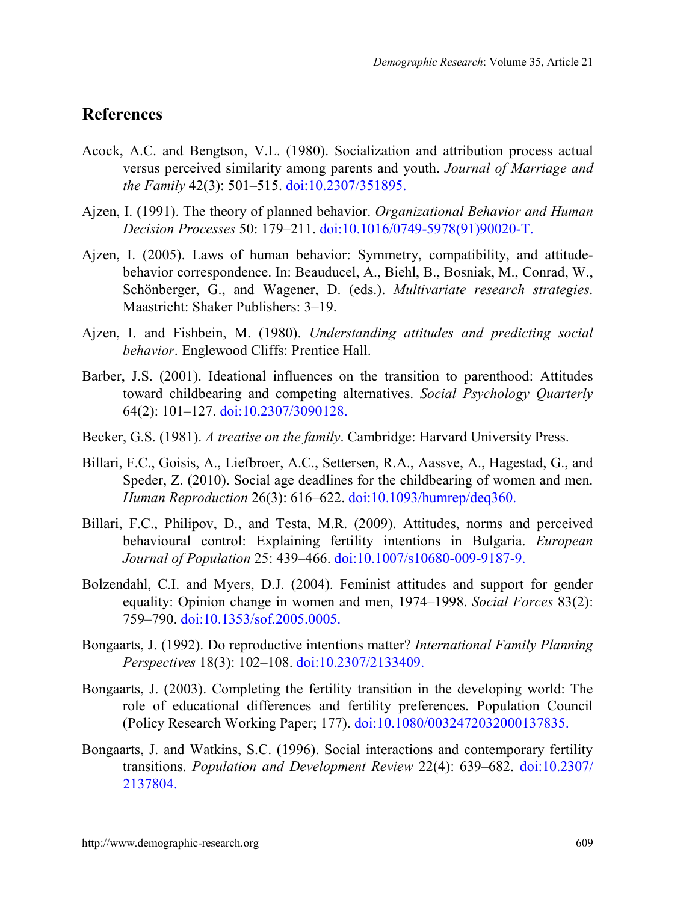### **References**

- Acock, A.C. and Bengtson, V.L. (1980). Socialization and attribution process actual versus perceived similarity among parents and youth. *Journal of Marriage and the Family* 42(3): 501‒515. [doi:10.2307/351895.](http://dx.doi.org/10.2307/351895)
- Ajzen, I. (1991). The theory of planned behavior. *Organizational Behavior and Human Decision Processes* 50: 179‒211. [doi:10.1016/0749-5978\(91\)90020-T.](http://dx.doi.org/10.1016/0749-5978(91)90020-T)
- Ajzen, I. (2005). Laws of human behavior: Symmetry, compatibility, and attitudebehavior correspondence. In: Beauducel, A., Biehl, B., Bosniak, M., Conrad, W., Schönberger, G., and Wagener, D. (eds.). *Multivariate research strategies*. Maastricht: Shaker Publishers: 3–19.
- Ajzen, I. and Fishbein, M. (1980). *Understanding attitudes and predicting social behavior*. Englewood Cliffs: Prentice Hall.
- Barber, J.S. (2001). Ideational influences on the transition to parenthood: Attitudes toward childbearing and competing alternatives. *Social Psychology Quarterly*  64(2): 101‒127. [doi:10.2307/3090128.](http://dx.doi.org/10.2307/3090128)
- Becker, G.S. (1981). *A treatise on the family*. Cambridge: Harvard University Press.
- Billari, F.C., Goisis, A., Liefbroer, A.C., Settersen, R.A., Aassve, A., Hagestad, G., and Speder, Z. (2010). Social age deadlines for the childbearing of women and men. *Human Reproduction* 26(3): 616‒622. [doi:10.1093/humrep/deq360.](http://dx.doi.org/10.1093/humrep/deq360)
- Billari, F.C., Philipov, D., and Testa, M.R. (2009). Attitudes, norms and perceived behavioural control: Explaining fertility intentions in Bulgaria. *European Journal of Population* 25: 439‒466. [doi:10.1007/s10680-009-9187-9.](http://dx.doi.org/10.1007/s10680-009-9187-9)
- Bolzendahl, C.I. and Myers, D.J. (2004). Feminist attitudes and support for gender equality: Opinion change in women and men, 1974–1998. *Social Forces* 83(2): 759–790. [doi:10.1353/sof.2005.0005.](http://dx.doi.org/10.1353/sof.2005.0005)
- Bongaarts, J. (1992). Do reproductive intentions matter? *International Family Planning Perspectives* 18(3): 102‒108. [doi:10.2307/2133409.](http://dx.doi.org/10.2307/2133409)
- Bongaarts, J. (2003). Completing the fertility transition in the developing world: The role of educational differences and fertility preferences. Population Council (Policy Research Working Paper; 177). [doi:10.1080/0032472032000137835.](http://dx.doi.org/10.1080/0032472032000137835)
- Bongaarts, J. and Watkins, S.C. (1996). Social interactions and contemporary fertility transitions. *Population and Development Review* 22(4): 639–682. [doi:10.2307/](http://dx.doi.org/10.2307/2137804) [2137804.](http://dx.doi.org/10.2307/2137804)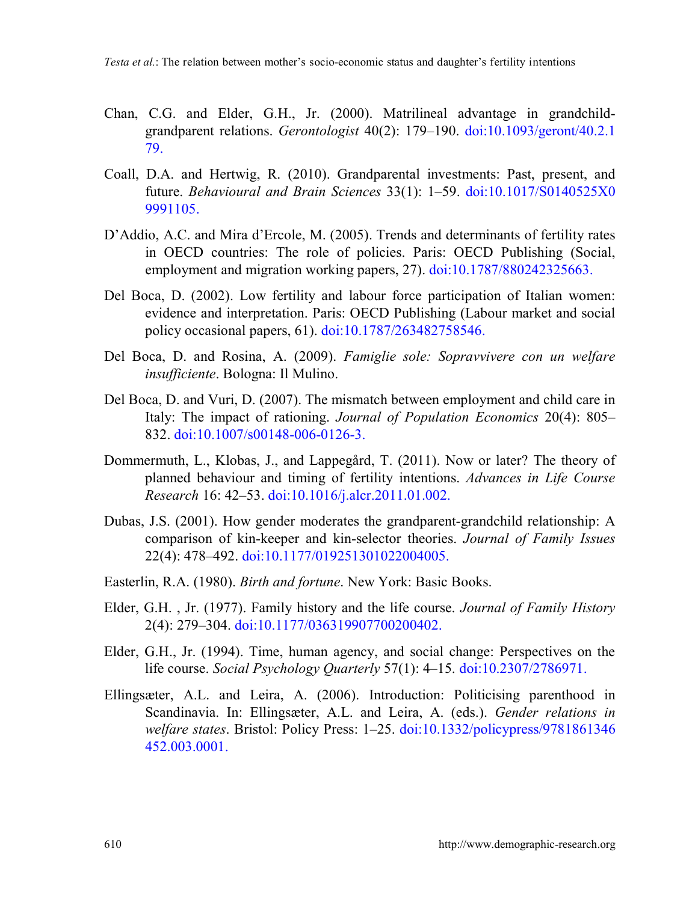- Chan, C.G. and Elder, G.H., Jr. (2000). Matrilineal advantage in grandchildgrandparent relations. *Gerontologist* 40(2): 179‒190. [doi:10.1093/geront/40.2.1](http://dx.doi.org/10.1093/geront/40.2.179) [79.](http://dx.doi.org/10.1093/geront/40.2.179)
- Coall, D.A. and Hertwig, R. (2010). Grandparental investments: Past, present, and future. *Behavioural and Brain Sciences* 33(1): 1‒59. [doi:10.1017/S0140525X0](http://dx.doi.org/10.1017/S0140525X09991105) [9991105.](http://dx.doi.org/10.1017/S0140525X09991105)
- D'Addio, A.C. and Mira d'Ercole, M. (2005). Trends and determinants of fertility rates in OECD countries: The role of policies. Paris: OECD Publishing (Social, employment and migration working papers, 27). [doi:10.1787/880242325663.](http://dx.doi.org/10.1787/880242325663)
- Del Boca, D. (2002). Low fertility and labour force participation of Italian women: evidence and interpretation. Paris: OECD Publishing (Labour market and social policy occasional papers, 61). [doi:10.1787/263482758546.](http://dx.doi.org/10.1787/263482758546)
- Del Boca, D. and Rosina, A. (2009). *Famiglie sole: Sopravvivere con un welfare insufficiente*. Bologna: Il Mulino.
- Del Boca, D. and Vuri, D. (2007). The mismatch between employment and child care in Italy: The impact of rationing. *Journal of Population Economics* 20(4): 805– 832. [doi:10.1007/s00148-006-0126-3.](http://dx.doi.org/10.1007/s00148-006-0126-3)
- Dommermuth, L., Klobas, J., and Lappegård, T. (2011). Now or later? The theory of planned behaviour and timing of fertility intentions. *Advances in Life Course Research* 16: 42‒53. [doi:10.1016/j.alcr.2011.01.002.](http://dx.doi.org/10.1016/j.alcr.2011.01.002)
- Dubas, J.S. (2001). How gender moderates the grandparent-grandchild relationship: A comparison of kin-keeper and kin-selector theories. *Journal of Family Issues*  22(4): 478‒492. [doi:10.1177/019251301022004005.](http://dx.doi.org/10.1177/019251301022004005)
- Easterlin, R.A. (1980). *Birth and fortune*. New York: Basic Books.
- Elder, G.H. , Jr. (1977). Family history and the life course. *Journal of Family History* 2(4): 279‒304. [doi:10.1177/036319907700200402.](http://dx.doi.org/10.1177/036319907700200402)
- Elder, G.H., Jr. (1994). Time, human agency, and social change: Perspectives on the life course. *Social Psychology Quarterly* 57(1): 4‒15. [doi:10.2307/2786971.](http://dx.doi.org/10.2307/2786971)
- Ellingsæter, A.L. and Leira, A. (2006). Introduction: Politicising parenthood in Scandinavia. In: Ellingsæter, A.L. and Leira, A. (eds.). *Gender relations in welfare states*. Bristol: Policy Press: 1‒25. [doi:10.1332/policypress/9781861346](http://dx.doi.org/10.1332/policypress/9781861346452.003.0001) [452.003.0001.](http://dx.doi.org/10.1332/policypress/9781861346452.003.0001)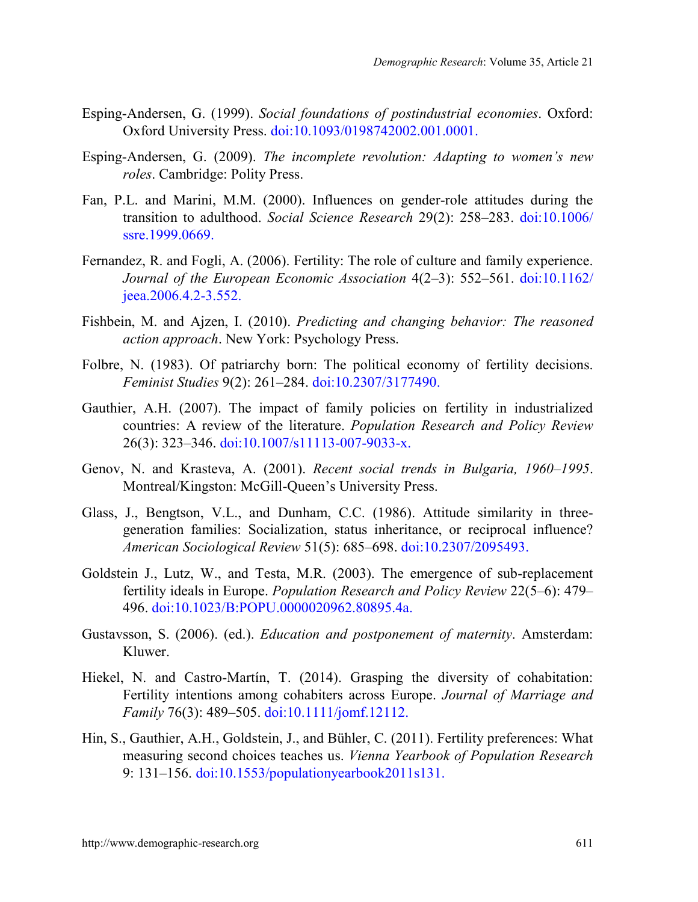- Esping-Andersen, G. (1999). *Social foundations of postindustrial economies*. Oxford: Oxford University Press. [doi:10.1093/0198742002.001.0001.](http://dx.doi.org/10.1093/0198742002.001.0001)
- Esping-Andersen, G. (2009). *The incomplete revolution: Adapting to women's new roles*. Cambridge: Polity Press.
- Fan, P.L. and Marini, M.M. (2000). Influences on gender-role attitudes during the transition to adulthood. *Social Science Research* 29(2): 258–283. [doi:10.1006/](http://dx.doi.org/10.1006/ssre.1999.0669) [ssre.1999.0669.](http://dx.doi.org/10.1006/ssre.1999.0669)
- Fernandez, R. and Fogli, A. (2006). Fertility: The role of culture and family experience. *Journal of the European Economic Association*  $4(2-3)$ : 552–561. [doi:10.1162/](http://dx.doi.org/10.1162/jeea.2006.4.2-3.552) [jeea.2006.4.2-3.552.](http://dx.doi.org/10.1162/jeea.2006.4.2-3.552)
- Fishbein, M. and Ajzen, I. (2010). *Predicting and changing behavior: The reasoned action approach*. New York: Psychology Press.
- Folbre, N. (1983). Of patriarchy born: The political economy of fertility decisions. *Feminist Studies* 9(2): 261‒284. [doi:10.2307/3177490.](http://dx.doi.org/10.2307/3177490)
- Gauthier, A.H. (2007). The impact of family policies on fertility in industrialized countries: A review of the literature. *Population Research and Policy Review*  26(3): 323‒346. [doi:10.1007/s11113-007-9033-x.](http://dx.doi.org/10.1007/s11113-007-9033-x)
- Genov, N. and Krasteva, A. (2001). *Recent social trends in Bulgaria, 1960–1995*. Montreal/Kingston: McGill-Queen's University Press.
- Glass, J., Bengtson, V.L., and Dunham, C.C. (1986). Attitude similarity in threegeneration families: Socialization, status inheritance, or reciprocal influence? *American Sociological Review* 51(5): 685‒698. [doi:10.2307/2095493.](http://dx.doi.org/10.2307/2095493)
- Goldstein J., Lutz, W., and Testa, M.R. (2003). The emergence of sub-replacement fertility ideals in Europe. *Population Research and Policy Review* 22(5–6): 479– 496. [doi:10.1023/B:POPU.0000020962.80895.4a.](http://dx.doi.org/10.1023/B:POPU.0000020962.80895.4a)
- Gustavsson, S. (2006). (ed.). *Education and postponement of maternity*. Amsterdam: Kluwer.
- Hiekel, N. and Castro-Martín, T. (2014). Grasping the diversity of cohabitation: Fertility intentions among cohabiters across Europe. *Journal of Marriage and Family* 76(3): 489‒505. [doi:10.1111/jomf.12112.](http://dx.doi.org/10.1111/jomf.12112)
- Hin, S., Gauthier, A.H., Goldstein, J., and Bühler, C. (2011). Fertility preferences: What measuring second choices teaches us. *Vienna Yearbook of Population Research*  9: 131–156. [doi:10.1553/populationyearbook2011s131.](http://dx.doi.org/10.1553/populationyearbook2011s131)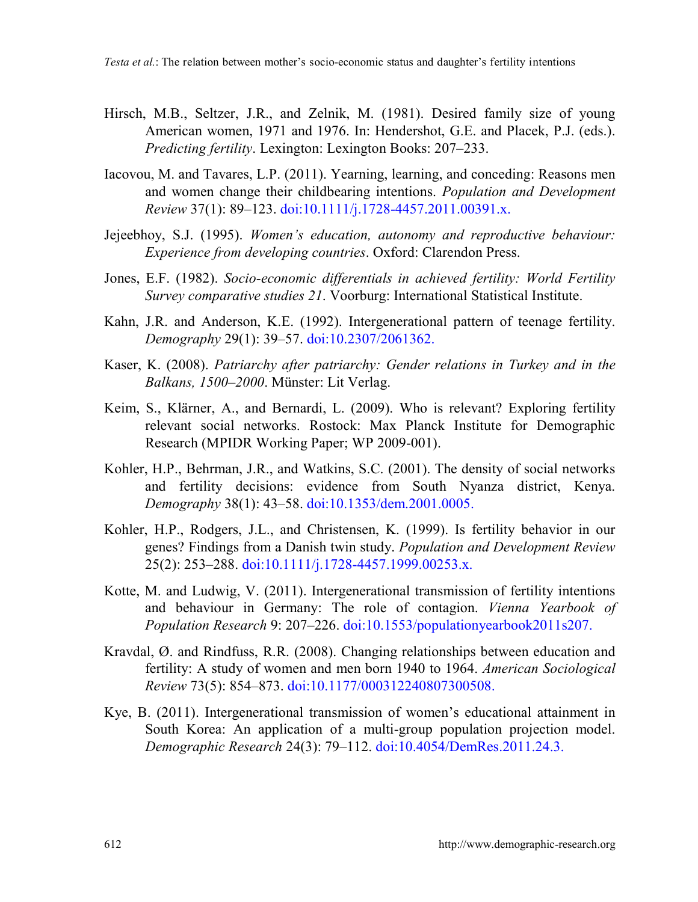- Hirsch, M.B., Seltzer, J.R., and Zelnik, M. (1981). Desired family size of young American women, 1971 and 1976. In: Hendershot, G.E. and Placek, P.J. (eds.). *Predicting fertility.* Lexington: Lexington Books: 207–233.
- Iacovou, M. and Tavares, L.P. (2011). Yearning, learning, and conceding: Reasons men and women change their childbearing intentions. *Population and Development Review* 37(1): 89‒123. [doi:10.1111/j.1728-4457.2011.00391.x.](http://dx.doi.org/10.1111/j.1728-4457.2011.00391.x)
- Jejeebhoy, S.J. (1995). *Women's education, autonomy and reproductive behaviour: Experience from developing countries*. Oxford: Clarendon Press.
- Jones, E.F. (1982). *Socio-economic differentials in achieved fertility: World Fertility Survey comparative studies 21*. Voorburg: International Statistical Institute.
- Kahn, J.R. and Anderson, K.E. (1992). Intergenerational pattern of teenage fertility. *Demography* 29(1): 39‒57. [doi:10.2307/2061362.](http://dx.doi.org/10.2307/2061362)
- Kaser, K. (2008). *Patriarchy after patriarchy: Gender relations in Turkey and in the Balkans, 1500*‒*2000*. Münster: Lit Verlag.
- Keim, S., Klärner, A., and Bernardi, L. (2009). Who is relevant? Exploring fertility relevant social networks. Rostock: Max Planck Institute for Demographic Research (MPIDR Working Paper; WP 2009-001).
- Kohler, H.P., Behrman, J.R., and Watkins, S.C. (2001). The density of social networks and fertility decisions: evidence from South Nyanza district, Kenya. *Demography* 38(1): 43‒58. [doi:10.1353/dem.2001.0005.](http://dx.doi.org/10.1353/dem.2001.0005)
- Kohler, H.P., Rodgers, J.L., and Christensen, K. (1999). Is fertility behavior in our genes? Findings from a Danish twin study. *Population and Development Review*  25(2): 253–288. [doi:10.1111/j.1728-4457.1999.00253.x.](http://dx.doi.org/10.1111/j.1728-4457.1999.00253.x)
- Kotte, M. and Ludwig, V. (2011). Intergenerational transmission of fertility intentions and behaviour in Germany: The role of contagion. *Vienna Yearbook of Population Research* 9: 207–226. [doi:10.1553/populationyearbook2011s207.](http://dx.doi.org/10.1553/populationyearbook2011s207)
- Kravdal, Ø. and Rindfuss, R.R. (2008). Changing relationships between education and fertility: A study of women and men born 1940 to 1964. *American Sociological Review* 73(5): 854–873. [doi:10.1177/000312240807300508.](http://dx.doi.org/10.1177/000312240807300508)
- Kye, B. (2011). Intergenerational transmission of women's educational attainment in South Korea: An application of a multi-group population projection model. *Demographic Research* 24(3): 79‒112. [doi:10.4054/DemRes.2011.24.3.](http://dx.doi.org/10.4054/DemRes.2011.24.3)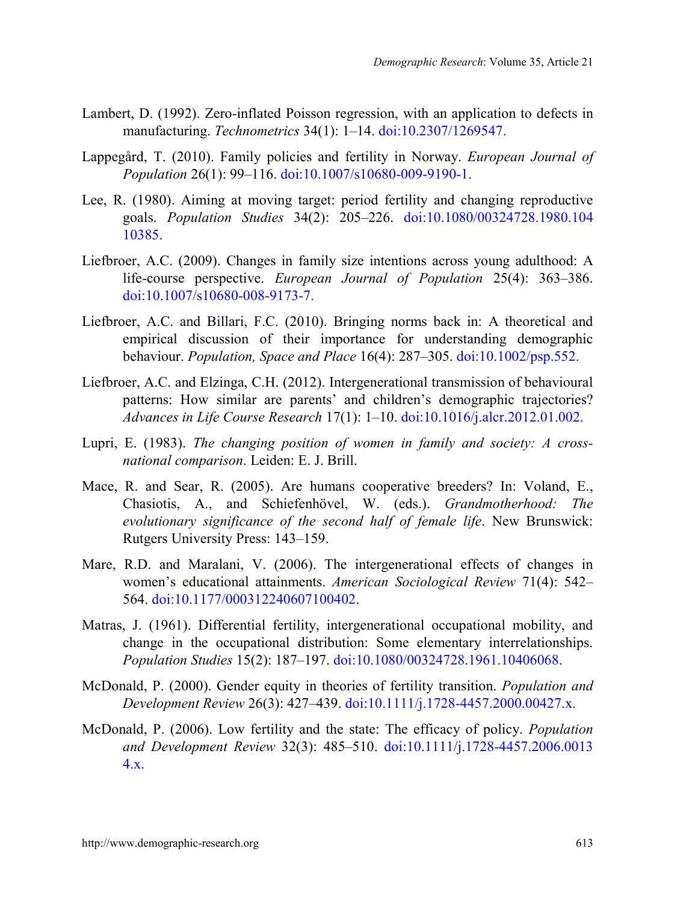- Lambert, D. (1992). Zero-inflated Poisson regression, with an application to defects in manufacturing. *Technometrics* 34(1): 1‒14. [doi:10.2307/1269547.](http://dx.doi.org/10.2307/1269547)
- Lappegård, T. (2010). Family policies and fertility in Norway. *European Journal of Population* 26(1): 99‒116. [doi:10.1007/s10680-009-9190-1.](http://dx.doi.org/10.1007/s10680-009-9190-1)
- Lee, R. (1980). Aiming at moving target: period fertility and changing reproductive goals. *Population Studies* 34(2): 205‒226. [doi:10.1080/00324728.1980.104](http://dx.doi.org/10.1080/00324728.1980.10410385) [10385.](http://dx.doi.org/10.1080/00324728.1980.10410385)
- Liefbroer, A.C. (2009). Changes in family size intentions across young adulthood: A life-course perspective. *European Journal of Population* 25(4): 363‒386. [doi:10.1007/s10680-008-9173-7.](http://dx.doi.org/10.1007/s10680-008-9173-7)
- Liefbroer, A.C. and Billari, F.C. (2010). Bringing norms back in: A theoretical and empirical discussion of their importance for understanding demographic behaviour. *Population, Space and Place* 16(4): 287‒305. [doi:10.1002/psp.552.](http://dx.doi.org/10.1002/psp.552)
- Liefbroer, A.C. and Elzinga, C.H. (2012). Intergenerational transmission of behavioural patterns: How similar are parents' and children's demographic trajectories? *Advances in Life Course Research* 17(1): 1‒10. [doi:10.1016/j.alcr.2012.01.002.](http://dx.doi.org/10.1016/j.alcr.2012.01.002)
- Lupri, E. (1983). *The changing position of women in family and society: A crossnational comparison*. Leiden: E. J. Brill.
- Mace, R. and Sear, R. (2005). Are humans cooperative breeders? In: Voland, E., Chasiotis, A., and Schiefenhövel, W. (eds.). *Grandmotherhood: The evolutionary significance of the second half of female life*. New Brunswick: Rutgers University Press: 143–159.
- Mare, R.D. and Maralani, V. (2006). The intergenerational effects of changes in women's educational attainments. *American Sociological Review* 71(4): 542‒ 564. [doi:10.1177/000312240607100402.](http://dx.doi.org/10.1177/000312240607100402)
- Matras, J. (1961). Differential fertility, intergenerational occupational mobility, and change in the occupational distribution: Some elementary interrelationships. *Population Studies* 15(2): 187‒197. [doi:10.1080/00324728.1961.10406068.](http://dx.doi.org/10.1080/00324728.1961.10406068)
- McDonald, P. (2000). Gender equity in theories of fertility transition. *Population and Development Review* 26(3): 427–439. [doi:10.1111/j.1728-4457.2000.00427.x.](http://dx.doi.org/10.1111/j.1728-4457.2000.00427.x)
- McDonald, P. (2006). Low fertility and the state: The efficacy of policy. *Population and Development Review* 32(3): 485–510. [doi:10.1111/j.1728-4457.2006.0013](http://dx.doi.org/10.1111/j.1728-4457.2006.00134.x) [4.x.](http://dx.doi.org/10.1111/j.1728-4457.2006.00134.x)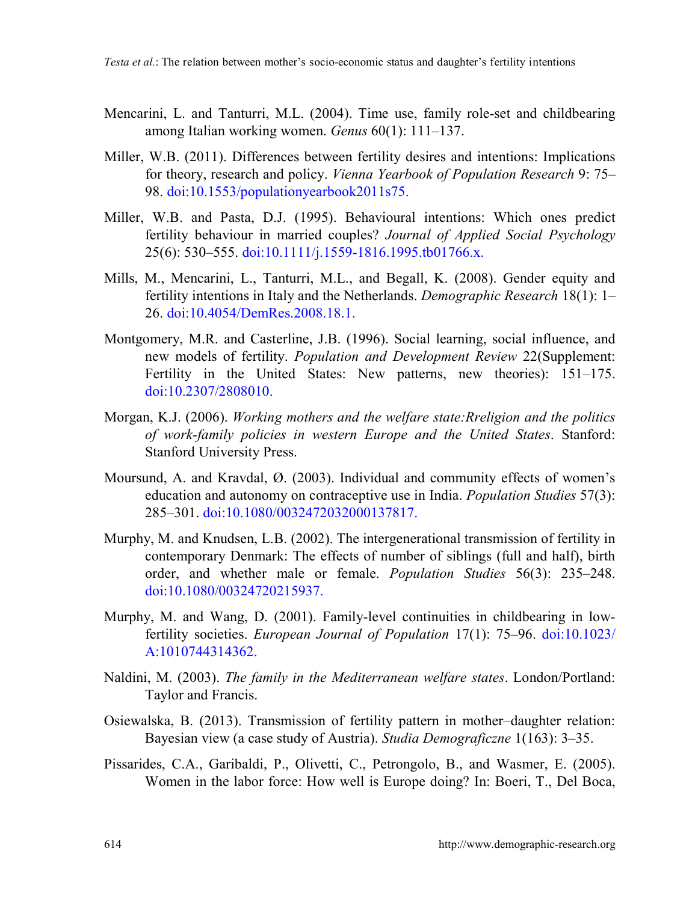- Mencarini, L. and Tanturri, M.L. (2004). Time use, family role-set and childbearing among Italian working women. *Genus* 60(1): 111–137.
- Miller, W.B. (2011). Differences between fertility desires and intentions: Implications for theory, research and policy. *Vienna Yearbook of Population Research* 9: 75– 98. [doi:10.1553/populationyearbook2011s75.](http://dx.doi.org/10.1553/populationyearbook2011s75)
- Miller, W.B. and Pasta, D.J. (1995). Behavioural intentions: Which ones predict fertility behaviour in married couples? *Journal of Applied Social Psychology*  25(6): 530‒555. [doi:10.1111/j.1559-1816.1995.tb01766.x.](http://dx.doi.org/10.1111/j.1559-1816.1995.tb01766.x)
- Mills, M., Mencarini, L., Tanturri, M.L., and Begall, K. (2008). Gender equity and fertility intentions in Italy and the Netherlands. *Demographic Research* 18(1): 1– 26. [doi:10.4054/DemRes.2008.18.1.](http://dx.doi.org/10.4054/DemRes.2008.18.1)
- Montgomery, M.R. and Casterline, J.B. (1996). Social learning, social influence, and new models of fertility. *Population and Development Review* 22(Supplement: Fertility in the United States: New patterns, new theories): 151–175. [doi:10.2307/2808010.](http://dx.doi.org/10.2307/2808010)
- Morgan, K.J. (2006). *Working mothers and the welfare state:Rreligion and the politics of work-family policies in western Europe and the United States*. Stanford: Stanford University Press.
- Moursund, A. and Kravdal, Ø. (2003). Individual and community effects of women's education and autonomy on contraceptive use in India. *Population Studies* 57(3): 285‒301. [doi:10.1080/0032472032000137817.](http://dx.doi.org/10.1080/0032472032000137817)
- Murphy, M. and Knudsen, L.B. (2002). The intergenerational transmission of fertility in contemporary Denmark: The effects of number of siblings (full and half), birth order, and whether male or female. *Population Studies* 56(3): 235‒248. [doi:10.1080/00324720215937.](http://dx.doi.org/10.1080/00324720215937)
- Murphy, M. and Wang, D. (2001). Family-level continuities in childbearing in lowfertility societies. *European Journal of Population* 17(1): 75–96. [doi:10.1023/](http://dx.doi.org/10.1023/A:1010744314362) [A:1010744314362.](http://dx.doi.org/10.1023/A:1010744314362)
- Naldini, M. (2003). *The family in the Mediterranean welfare states*. London/Portland: Taylor and Francis.
- Osiewalska, B. (2013). Transmission of fertility pattern in mother–daughter relation: Bayesian view (a case study of Austria). *Studia Demograficzne* 1(163): 3‒35.
- Pissarides, C.A., Garibaldi, P., Olivetti, C., Petrongolo, B., and Wasmer, E. (2005). Women in the labor force: How well is Europe doing? In: Boeri, T., Del Boca,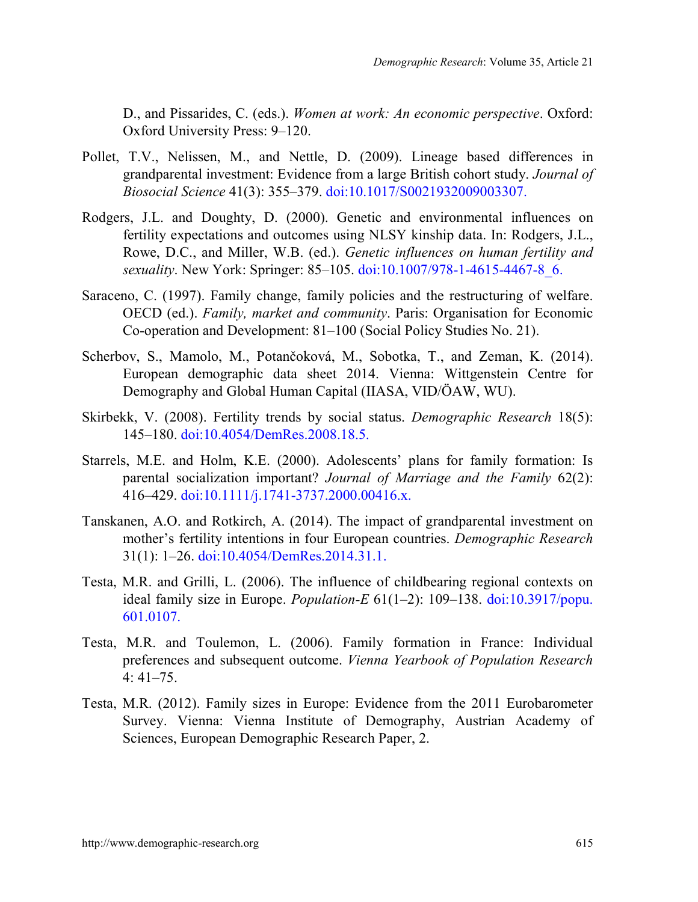D., and Pissarides, C. (eds.). *Women at work: An economic perspective*. Oxford: Oxford University Press: 9-120.

- Pollet, T.V., Nelissen, M., and Nettle, D. (2009). Lineage based differences in grandparental investment: Evidence from a large British cohort study. *Journal of Biosocial Science* 41(3): 355‒379. [doi:10.1017/S0021932009003307.](http://dx.doi.org/10.1017/S0021932009003307)
- Rodgers, J.L. and Doughty, D. (2000). Genetic and environmental influences on fertility expectations and outcomes using NLSY kinship data. In: Rodgers, J.L., Rowe, D.C., and Miller, W.B. (ed.). *Genetic influences on human fertility and sexuality*. New York: Springer: 85–105. doi:10.1007/978-1-4615-4467-8 6.
- Saraceno, C. (1997). Family change, family policies and the restructuring of welfare. OECD (ed.). *Family, market and community*. Paris: Organisation for Economic Co-operation and Development: 81–100 (Social Policy Studies No. 21).
- Scherbov, S., Mamolo, M., Potančoková, M., Sobotka, T., and Zeman, K. (2014). European demographic data sheet 2014. Vienna: Wittgenstein Centre for Demography and Global Human Capital (IIASA, VID/ÖAW, WU).
- Skirbekk, V. (2008). Fertility trends by social status. *Demographic Research* 18(5): 145‒180. [doi:10.4054/DemRes.2008.18.5.](http://dx.doi.org/10.4054/DemRes.2008.18.5)
- Starrels, M.E. and Holm, K.E. (2000). Adolescents' plans for family formation: Is parental socialization important? *Journal of Marriage and the Family* 62(2): 416–429. [doi:10.1111/j.1741-3737.2000.00416.x.](http://dx.doi.org/10.1111/j.1741-3737.2000.00416.x)
- Tanskanen, A.O. and Rotkirch, A. (2014). The impact of grandparental investment on mother's fertility intentions in four European countries. *Demographic Research* 31(1): 1‒26. [doi:10.4054/DemRes.2014.31.1.](http://dx.doi.org/10.4054/DemRes.2014.31.1)
- Testa, M.R. and Grilli, L. (2006). The influence of childbearing regional contexts on ideal family size in Europe. *Population-E* 61(1–2): 109–138. [doi:10.3917/popu.](http://dx.doi.org/10.3917/popu.601.0107) [601.0107.](http://dx.doi.org/10.3917/popu.601.0107)
- Testa, M.R. and Toulemon, L. (2006). Family formation in France: Individual preferences and subsequent outcome. *Vienna Yearbook of Population Research*   $4:41-75.$
- Testa, M.R. (2012). Family sizes in Europe: Evidence from the 2011 Eurobarometer Survey. Vienna: Vienna Institute of Demography, Austrian Academy of Sciences, European Demographic Research Paper, 2.